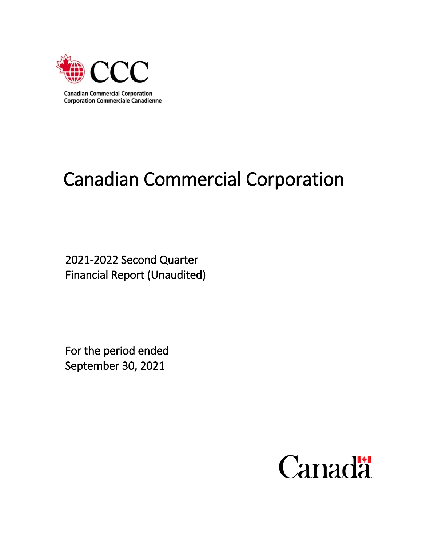

# Canadian Commercial Corporation

2021-2022 Second Quarter Financial Report (Unaudited)

For the period ended September 30, 2021

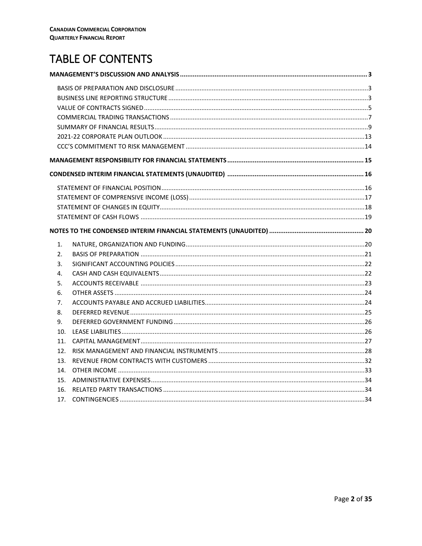# **TABLE OF CONTENTS**

| 1.              |  |
|-----------------|--|
| 2.              |  |
| 3.              |  |
| 4.              |  |
| 5.              |  |
| 6.              |  |
| 7.              |  |
| 8.              |  |
| 9.              |  |
| 10 <sub>1</sub> |  |
| 11.             |  |
| 12.             |  |
| 13.             |  |
| 14.             |  |
| 15.             |  |
| 16.             |  |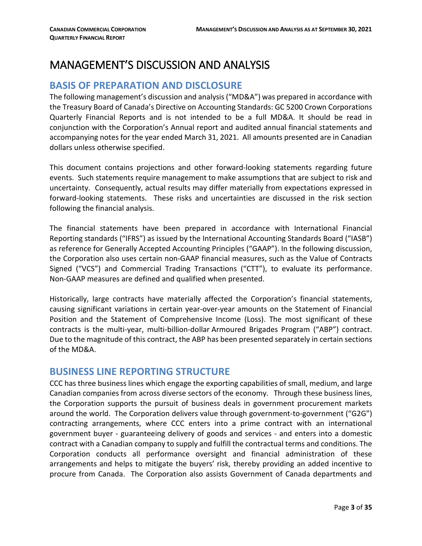# <span id="page-2-0"></span>MANAGEMENT'S DISCUSSION AND ANALYSIS

# <span id="page-2-1"></span>**BASIS OF PREPARATION AND DISCLOSURE**

The following management's discussion and analysis ("MD&A") was prepared in accordance with the Treasury Board of Canada's Directive on Accounting Standards: GC 5200 Crown Corporations Quarterly Financial Reports and is not intended to be a full MD&A. It should be read in conjunction with the Corporation's Annual report and audited annual financial statements and accompanying notes for the year ended March 31, 2021. All amounts presented are in Canadian dollars unless otherwise specified.

This document contains projections and other forward-looking statements regarding future events. Such statements require management to make assumptions that are subject to risk and uncertainty. Consequently, actual results may differ materially from expectations expressed in forward-looking statements. These risks and uncertainties are discussed in the risk section following the financial analysis.

The financial statements have been prepared in accordance with International Financial Reporting standards ("IFRS") as issued by the International Accounting Standards Board ("IASB") as reference for Generally Accepted Accounting Principles ("GAAP"). In the following discussion, the Corporation also uses certain non-GAAP financial measures, such as the Value of Contracts Signed ("VCS") and Commercial Trading Transactions ("CTT"), to evaluate its performance. Non-GAAP measures are defined and qualified when presented.

Historically, large contracts have materially affected the Corporation's financial statements, causing significant variations in certain year-over-year amounts on the Statement of Financial Position and the Statement of Comprehensive Income (Loss). The most significant of these contracts is the multi-year, multi-billion-dollar Armoured Brigades Program ("ABP") contract. Due to the magnitude of this contract, the ABP has been presented separately in certain sections of the MD&A.

# <span id="page-2-2"></span>**BUSINESS LINE REPORTING STRUCTURE**

CCC has three business lines which engage the exporting capabilities of small, medium, and large Canadian companies from across diverse sectors of the economy. Through these business lines, the Corporation supports the pursuit of business deals in government procurement markets around the world. The Corporation delivers value through government-to-government ("G2G") contracting arrangements, where CCC enters into a prime contract with an international government buyer - guaranteeing delivery of goods and services - and enters into a domestic contract with a Canadian company to supply and fulfill the contractual terms and conditions. The Corporation conducts all performance oversight and financial administration of these arrangements and helps to mitigate the buyers' risk, thereby providing an added incentive to procure from Canada. The Corporation also assists Government of Canada departments and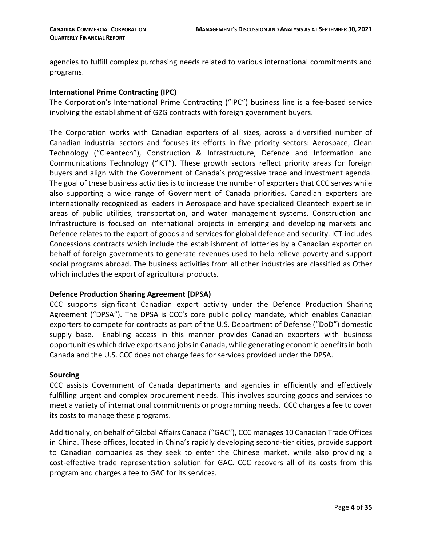agencies to fulfill complex purchasing needs related to various international commitments and programs.

#### **International Prime Contracting (IPC)**

The Corporation's International Prime Contracting ("IPC") business line is a fee-based service involving the establishment of G2G contracts with foreign government buyers.

The Corporation works with Canadian exporters of all sizes, across a diversified number of Canadian industrial sectors and focuses its efforts in five priority sectors: Aerospace, Clean Technology ("Cleantech"), Construction & Infrastructure, Defence and Information and Communications Technology ("ICT"). These growth sectors reflect priority areas for foreign buyers and align with the Government of Canada's progressive trade and investment agenda. The goal of these business activities is to increase the number of exporters that CCC serves while also supporting a wide range of Government of Canada priorities**.** Canadian exporters are internationally recognized as leaders in Aerospace and have specialized Cleantech expertise in areas of public utilities, transportation, and water management systems. Construction and Infrastructure is focused on international projects in emerging and developing markets and Defence relates to the export of goods and services for global defence and security. ICT includes Concessions contracts which include the establishment of lotteries by a Canadian exporter on behalf of foreign governments to generate revenues used to help relieve poverty and support social programs abroad. The business activities from all other industries are classified as Other which includes the export of agricultural products.

#### **Defence Production Sharing Agreement (DPSA)**

CCC supports significant Canadian export activity under the Defence Production Sharing Agreement ("DPSA"). The DPSA is CCC's core public policy mandate, which enables Canadian exporters to compete for contracts as part of the U.S. Department of Defense ("DoD") domestic supply base. Enabling access in this manner provides Canadian exporters with business opportunities which drive exports and jobs in Canada, while generating economic benefitsin both Canada and the U.S. CCC does not charge fees for services provided under the DPSA.

#### **Sourcing**

CCC assists Government of Canada departments and agencies in efficiently and effectively fulfilling urgent and complex procurement needs. This involves sourcing goods and services to meet a variety of international commitments or programming needs. CCC charges a fee to cover its costs to manage these programs.

Additionally, on behalf of Global Affairs Canada ("GAC"), CCC manages 10 Canadian Trade Offices in China. These offices, located in China's rapidly developing second-tier cities, provide support to Canadian companies as they seek to enter the Chinese market, while also providing a cost-effective trade representation solution for GAC. CCC recovers all of its costs from this program and charges a fee to GAC for its services.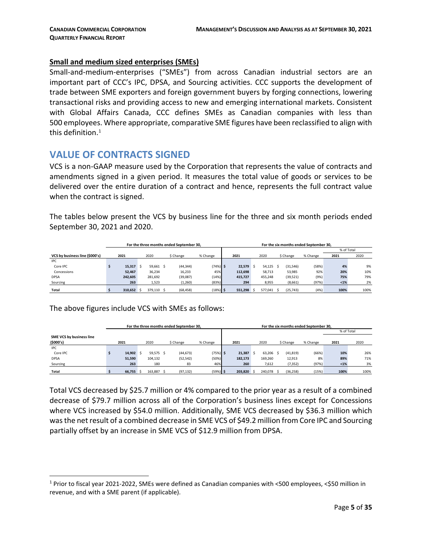#### **Small and medium sized enterprises (SMEs)**

Small-and-medium-enterprises ("SMEs") from across Canadian industrial sectors are an important part of CCC's IPC, DPSA, and Sourcing activities. CCC supports the development of trade between SME exporters and foreign government buyers by forging connections, lowering transactional risks and providing access to new and emerging international markets. Consistent with Global Affairs Canada, CCC defines SMEs as Canadian companies with less than 500 employees. Where appropriate, comparative SME figures have been reclassified to align with this definition. $^1$  $^1$ 

## <span id="page-4-0"></span>**VALUE OF CONTRACTS SIGNED**

VCS is a non-GAAP measure used by the Corporation that represents the value of contracts and amendments signed in a given period. It measures the total value of goods or services to be delivered over the entire duration of a contract and hence, represents the full contract value when the contract is signed.

The tables below present the VCS by business line for the three and six month periods ended September 30, 2021 and 2020.

|                                |                       |         |                   |           |           | For the three months ended September 30. |            | For the six months ended September 30. |         |         |         |           |           |          |            |      |  |
|--------------------------------|-----------------------|---------|-------------------|-----------|-----------|------------------------------------------|------------|----------------------------------------|---------|---------|---------|-----------|-----------|----------|------------|------|--|
|                                |                       |         |                   |           |           |                                          |            |                                        |         |         |         |           |           |          | % of Total |      |  |
| VCS by business line (\$000's) |                       | 2021    | 2020<br>\$ Change |           |           |                                          | % Change   |                                        | 2021    | 2020    |         |           | \$ Change | % Change | 2021       | 2020 |  |
| <b>IPC</b>                     |                       |         |                   |           |           |                                          |            |                                        |         |         |         |           |           |          |            |      |  |
| Core IPC                       |                       | 15,317  |                   | 59,661 \$ |           | (44, 344)                                | $(74%)$ \$ |                                        | 22.579  |         | 54.125  |           | (31, 546) | (58%)    | 4%         | 9%   |  |
| Concessions                    |                       | 52.467  |                   | 36,234    |           | 16,233                                   | 45%        |                                        | 112.698 |         | 58,713  |           | 53,985    | 92%      | 20%        | 10%  |  |
| <b>DPSA</b>                    |                       | 242.605 |                   | 281,692   |           | (39,087)                                 | (14%)      |                                        | 415,727 |         | 455,248 |           | (39, 521) | (9%)     | 75%        | 79%  |  |
| Sourcing                       |                       | 263     | 1,523             |           |           | (1,260)                                  | (83%)      |                                        | 294     |         | 8,955   |           | (8,661)   | (97%)    | $< 1\%$    | 2%   |  |
| <b>Total</b>                   | 310.652<br>379.110 \$ |         |                   |           | (68, 458) | $(18%)$ \$                               |            | 551,298                                |         | 577.041 |         | (25, 743) | (4%       | 100%     | 100%       |      |  |

The above figures include VCS with SMEs as follows:

|                          |                                |        |  |           | For the three months ended September 30. |            | For the six months ended September 30. |         |         |         |           |           |          |            |      |  |
|--------------------------|--------------------------------|--------|--|-----------|------------------------------------------|------------|----------------------------------------|---------|---------|---------|-----------|-----------|----------|------------|------|--|
|                          |                                |        |  |           |                                          |            |                                        |         |         |         |           |           |          | % of Total |      |  |
| SME VCS by business line |                                |        |  |           |                                          |            |                                        |         |         |         |           |           |          |            |      |  |
| (5000's)                 |                                | 2021   |  | 2020      | \$ Change                                | % Change   |                                        | 2021    |         | 2020    |           | \$ Change | % Change | 2021       | 2020 |  |
| <b>IPC</b>               |                                |        |  |           |                                          |            |                                        |         |         |         |           |           |          |            |      |  |
| Core IPC                 |                                | 14.902 |  | 59,575 \$ | (44, 673)                                | $(75%)$ \$ |                                        | 21,387  |         | 63,206  |           | (41, 819) | (66%)    | 10%        | 26%  |  |
| <b>DPSA</b>              |                                | 51,590 |  | 104,132   | (52, 542)                                | (50%)      |                                        | 182,173 |         | 169,260 |           | 12,913    | 8%       | 89%        | 71%  |  |
| Sourcing                 |                                | 263    |  | 180       | 83                                       | 46%        |                                        | 260     |         | 7,612   |           | (7, 352)  | (97%)    | $< 1\%$    | 3%   |  |
| Total                    | 66,755<br>163.887<br>(97, 132) |        |  |           | $(59%)$ \$                               |            | 203.820                                |         | 240,078 |         | (36, 258) | (15%)     | 100%     | 100%       |      |  |

Total VCS decreased by \$25.7 million or 4% compared to the prior year as a result of a combined decrease of \$79.7 million across all of the Corporation's business lines except for Concessions where VCS increased by \$54.0 million. Additionally, SME VCS decreased by \$36.3 million which was the net result of a combined decrease in SME VCS of \$49.2 million from Core IPC and Sourcing partially offset by an increase in SME VCS of \$12.9 million from DPSA.

<span id="page-4-1"></span> <sup>1</sup> Prior to fiscal year 2021-2022, SMEs were defined as Canadian companies with <500 employees, <\$50 million in revenue, and with a SME parent (if applicable).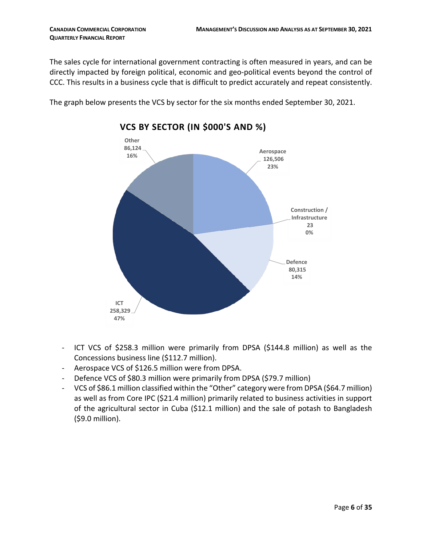The sales cycle for international government contracting is often measured in years, and can be directly impacted by foreign political, economic and geo-political events beyond the control of CCC. This results in a business cycle that is difficult to predict accurately and repeat consistently.

The graph below presents the VCS by sector for the six months ended September 30, 2021.



# **VCS BY SECTOR (IN \$000'S AND %)**

- ICT VCS of \$258.3 million were primarily from DPSA (\$144.8 million) as well as the Concessions business line (\$112.7 million).
- Aerospace VCS of \$126.5 million were from DPSA.
- Defence VCS of \$80.3 million were primarily from DPSA (\$79.7 million)
- VCS of \$86.1 million classified within the "Other" category were from DPSA (\$64.7 million) as well as from Core IPC (\$21.4 million) primarily related to business activities in support of the agricultural sector in Cuba (\$12.1 million) and the sale of potash to Bangladesh (\$9.0 million).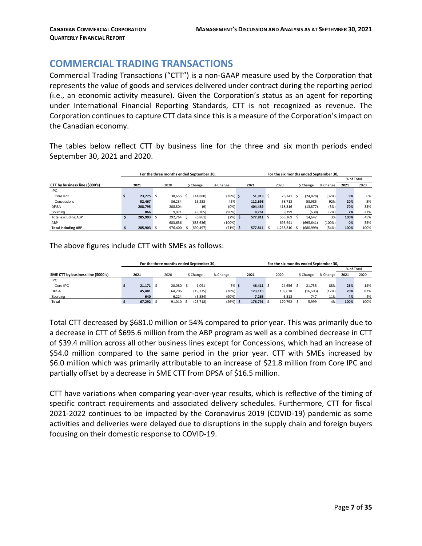# <span id="page-6-0"></span>**COMMERCIAL TRADING TRANSACTIONS**

Commercial Trading Transactions ("CTT") is a non-GAAP measure used by the Corporation that represents the value of goods and services delivered under contract during the reporting period (i.e., an economic activity measure). Given the Corporation's status as an agent for reporting under International Financial Reporting Standards, CTT is not recognized as revenue. The Corporation continues to capture CTT data since this is a measure of the Corporation's impact on the Canadian economy.

The tables below reflect CTT by business line for the three and six month periods ended September 30, 2021 and 2020.

|                                |                          | For the three months ended September 30. |  |            | For the six months ended September 30. |  |                          |  |           |  |            |          |            |      |
|--------------------------------|--------------------------|------------------------------------------|--|------------|----------------------------------------|--|--------------------------|--|-----------|--|------------|----------|------------|------|
|                                |                          |                                          |  |            |                                        |  |                          |  |           |  |            |          | % of Total |      |
| CTT by business line (\$000's) | 2021                     | 2020                                     |  | \$ Change  | % Change                               |  | 2021                     |  | 2020      |  | \$ Change  | % Change | 2021       | 2020 |
| <b>IPC</b>                     |                          |                                          |  |            |                                        |  |                          |  |           |  |            |          |            |      |
| Core IPC                       | $23.775$ \$              | 38.655 \$                                |  | (14, 880)  | $(38%)$ \$                             |  | $51,913$ \$              |  | 76.741    |  | (24, 828)  | (32%)    | 9%         | 6%   |
| Concessions                    | 52.467                   | 36,234                                   |  | 16,233     | 45%                                    |  | 112.698                  |  | 58,713    |  | 53,985     | 92%      | 20%        | 5%   |
| <b>DPSA</b>                    | 208.795                  | 208.804                                  |  | (9)        | (0%)                                   |  | 404.439                  |  | 418.316   |  | (13, 877)  | (3%)     | 70%        | 33%  |
| Sourcing                       | 866                      | 9,071                                    |  | (8, 205)   | (90%)                                  |  | 8,761                    |  | 9,399     |  | (638)      | (7%)     | 2%         | < 1% |
| <b>Total excluding ABP</b>     | 285.903 \$               | 292.764 \$                               |  | (6,861)    | (2%)                                   |  | 577.811 \$               |  | 563.169   |  | 14.642     | 3%       | 100%       | 45%  |
| ABP                            | $\overline{\phantom{a}}$ | 683.636                                  |  | (683, 636) | (100%)                                 |  | $\overline{\phantom{0}}$ |  | 695.641   |  | (695, 641) | (100%)   | 0%         | 55%  |
| <b>Total including ABP</b>     | 285.903 \$               | 976.400                                  |  | (690.497)  | $(71%)$ \$                             |  | 577.811                  |  | 1.258.810 |  | (680,999)  | (54%)    | 100%       | 100% |

The above figures include CTT with SMEs as follows:

|                                    |         | For the three months ended September 30. |           |            | For the six months ended September 30. |             |  |         |  |           |          |            |      |
|------------------------------------|---------|------------------------------------------|-----------|------------|----------------------------------------|-------------|--|---------|--|-----------|----------|------------|------|
|                                    |         |                                          |           |            |                                        |             |  |         |  |           |          | % of Total |      |
| SME CTT by business line (\$000's) | 2021    | 2020                                     | \$ Change | % Change   |                                        | 2021        |  | 2020    |  | \$ Change | % Change | 2021       | 2020 |
| <b>IPC</b>                         |         |                                          |           |            |                                        |             |  |         |  |           |          |            |      |
| Core IPC                           | 21.171S | 20.080                                   | 1.091     | $5%$ \$    |                                        | $46.411$ \$ |  | 24.656  |  | 21.755    | 88%      | 26%        | 14%  |
| <b>DPSA</b>                        | 45.481  | 64,706                                   | (19, 225) | (30%)      |                                        | 123,115     |  | 139,618 |  | (16, 503) | (12%)    | 70%        | 82%  |
| Sourcing                           | 640     | 6,224                                    | (5,584)   | (90%)      |                                        | 7,265       |  | 6,518   |  | 747       | 11%      | 4%         | 4%   |
| Total                              | 67,292  | 91,010                                   | (23, 718) | $(26%)$ \$ |                                        | 176,791 \$  |  | 170,792 |  | 5,999     | 4%       | 100%       | 100% |

Total CTT decreased by \$681.0 million or 54% compared to prior year. This was primarily due to a decrease in CTT of \$695.6 million from the ABP program as well as a combined decrease in CTT of \$39.4 million across all other business lines except for Concessions, which had an increase of \$54.0 million compared to the same period in the prior year. CTT with SMEs increased by \$6.0 million which was primarily attributable to an increase of \$21.8 million from Core IPC and partially offset by a decrease in SME CTT from DPSA of \$16.5 million.

CTT have variations when comparing year-over-year results, which is reflective of the timing of specific contract requirements and associated delivery schedules. Furthermore, CTT for fiscal 2021-2022 continues to be impacted by the Coronavirus 2019 (COVID-19) pandemic as some activities and deliveries were delayed due to disruptions in the supply chain and foreign buyers focusing on their domestic response to COVID-19.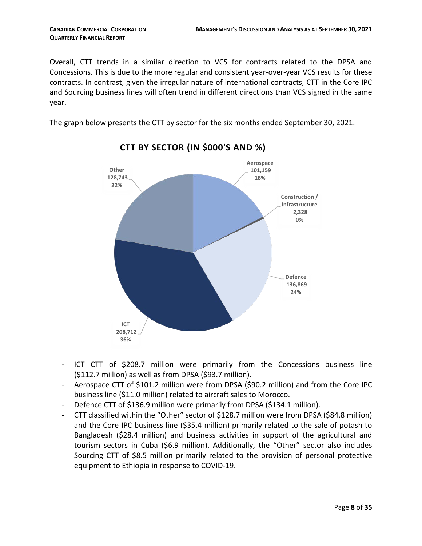Overall, CTT trends in a similar direction to VCS for contracts related to the DPSA and Concessions. This is due to the more regular and consistent year-over-year VCS results for these contracts. In contrast, given the irregular nature of international contracts, CTT in the Core IPC and Sourcing business lines will often trend in different directions than VCS signed in the same year.

The graph below presents the CTT by sector for the six months ended September 30, 2021.



**CTT BY SECTOR (IN \$000'S AND %)**

- ICT CTT of \$208.7 million were primarily from the Concessions business line (\$112.7 million) as well as from DPSA (\$93.7 million).
- Aerospace CTT of \$101.2 million were from DPSA (\$90.2 million) and from the Core IPC business line (\$11.0 million) related to aircraft sales to Morocco.
- Defence CTT of \$136.9 million were primarily from DPSA (\$134.1 million).
- CTT classified within the "Other" sector of \$128.7 million were from DPSA (\$84.8 million) and the Core IPC business line (\$35.4 million) primarily related to the sale of potash to Bangladesh (\$28.4 million) and business activities in support of the agricultural and tourism sectors in Cuba (\$6.9 million). Additionally, the "Other" sector also includes Sourcing CTT of \$8.5 million primarily related to the provision of personal protective equipment to Ethiopia in response to COVID-19.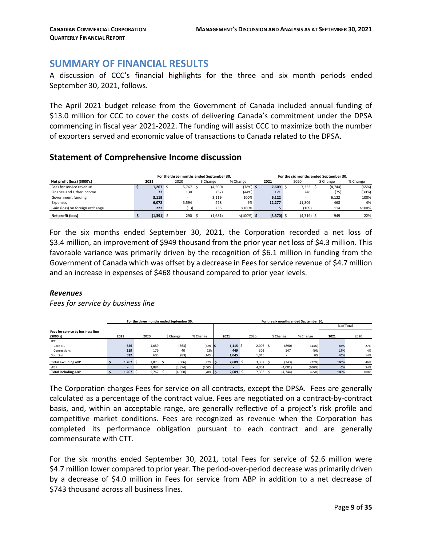# <span id="page-8-0"></span>**SUMMARY OF FINANCIAL RESULTS**

A discussion of CCC's financial highlights for the three and six month periods ended September 30, 2021, follows.

The April 2021 budget release from the Government of Canada included annual funding of \$13.0 million for CCC to cover the costs of delivering Canada's commitment under the DPSA commencing in fiscal year 2021-2022. The funding will assist CCC to maximize both the number of exporters served and economic value of transactions to Canada related to the DPSA.

### **Statement of Comprehensive Income discussion**

|                                 |              |       | For the three months ended September 30. |                            | For the six months ended September 30. |              |  |              |  |           |          |
|---------------------------------|--------------|-------|------------------------------------------|----------------------------|----------------------------------------|--------------|--|--------------|--|-----------|----------|
| Net profit (loss) (\$000's)     | 2021         | 2020  | \$ Change                                | % Change                   |                                        | 2021         |  | 2020         |  | \$ Change | % Change |
| Fees for service revenue        | 1.267        | 5,767 | (4,500)                                  | $(78%)$ \$                 |                                        | 2,609        |  | 7,353        |  | (4,744)   | (65%)    |
| Finance and Other income        | 73           | 130   | (57)                                     | (44%)                      |                                        | 171          |  | 246          |  | (75       | (30%)    |
| Government funding              | 3,119        |       | 3,119                                    | 100%                       |                                        | 6,122        |  |              |  | 6,122     | 100%     |
| Expenses                        | 6,072        | 5.594 | 478                                      | 9%                         |                                        | 12,277       |  | 11.809       |  | 468       | 4%       |
| Gain (loss) on foreign exchange | 222          | (13)  | 235                                      | >100%                      |                                        |              |  | (109)        |  | 114       | >100%    |
| Net profit (loss)               | $(1,391)$ \$ | 290   | (1,681)                                  | $\langle 100\% \rangle$ \$ |                                        | $(3,370)$ \$ |  | $(4,319)$ \$ |  | 949       | 22%      |

For the six months ended September 30, 2021, the Corporation recorded a net loss of \$3.4 million, an improvement of \$949 thousand from the prior year net loss of \$4.3 million. This favorable variance was primarily driven by the recognition of \$6.1 million in funding from the Government of Canada which was offset by a decrease in Fees for service revenue of \$4.7 million and an increase in expenses of \$468 thousand compared to prior year levels.

#### *Revenues*

*Fees for service by business line*

|                                   |                          | For the three months ended September 30, |           |            | For the six months ended September 30. |       |            |           |          |            |      |  |  |
|-----------------------------------|--------------------------|------------------------------------------|-----------|------------|----------------------------------------|-------|------------|-----------|----------|------------|------|--|--|
|                                   |                          |                                          |           |            |                                        |       |            |           |          | % of Total |      |  |  |
| Fees for service by business line |                          |                                          |           |            |                                        |       |            |           |          |            |      |  |  |
| (5000's)                          | 2021                     | 2020                                     | \$ Change | % Change   | 2021                                   | 2020  |            | \$ Change | % Change | 2021       | 2020 |  |  |
| <b>IPC</b>                        |                          |                                          |           |            |                                        |       |            |           |          |            |      |  |  |
| Core IPC                          | 526                      | 1,089                                    | (563)     | $(52%)$ \$ | $1,115$ \$                             |       | $2,005$ \$ | (890)     | (44%)    | 43%        | 27%  |  |  |
| Concessions                       | 219                      | 179                                      | 40        | 22%        | 449                                    | 302   |            | 147       | 49%      | 17%        | 4%   |  |  |
| Sourcing                          | 522                      | 605                                      | (83)      | (14%)      | 1,045                                  | 1,045 |            |           | 0%       | 40%        | 14%  |  |  |
| <b>Total excluding ABP</b>        | 1,267                    | 1,873                                    | (606)     | $(32%)$ \$ | $2,609$ \$                             |       | $3,352$ \$ | (743)     | (22%)    | 100%       | 46%  |  |  |
| ABP                               | $\overline{\phantom{a}}$ | 3,894                                    | (3,894)   | (100%)     |                                        | 4,001 |            | (4,001)   | (100%)   | 0%         | 54%  |  |  |
| <b>Total including ABP</b>        | 1.267                    | 5,767                                    | (4,500)   | $(78%)$ \$ | $2.609$ \$                             | 7,353 |            | (4,744)   | (65%)    | 100%       | 100% |  |  |

The Corporation charges Fees for service on all contracts, except the DPSA. Fees are generally calculated as a percentage of the contract value. Fees are negotiated on a contract-by-contract basis, and, within an acceptable range, are generally reflective of a project's risk profile and competitive market conditions. Fees are recognized as revenue when the Corporation has completed its performance obligation pursuant to each contract and are generally commensurate with CTT.

For the six months ended September 30, 2021, total Fees for service of \$2.6 million were \$4.7 million lower compared to prior year. The period-over-period decrease was primarily driven by a decrease of \$4.0 million in Fees for service from ABP in addition to a net decrease of \$743 thousand across all business lines.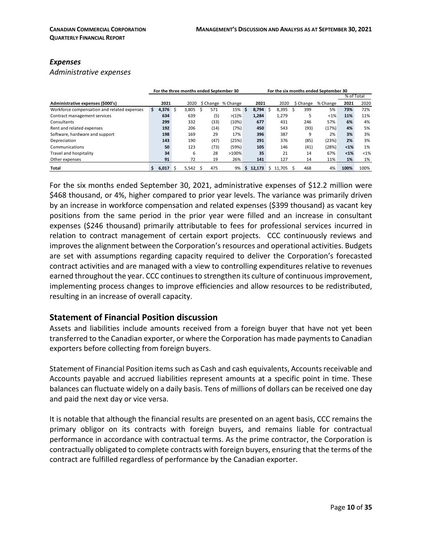#### *Expenses*

*Administrative expenses*

|                                             |             | For the three months ended September 30 |       |      |                    |    |               | For the six months ended September 30 |        |  |           |          |            |         |  |
|---------------------------------------------|-------------|-----------------------------------------|-------|------|--------------------|----|---------------|---------------------------------------|--------|--|-----------|----------|------------|---------|--|
|                                             |             |                                         |       |      |                    |    |               |                                       |        |  |           |          | % of Total |         |  |
| Administrative expenses (\$000's)           | 2021        |                                         | 2020  |      | \$ Change % Change |    | 2021          |                                       | 2020   |  | \$ Change | % Change | 2021       | 2020    |  |
| Workforce compensation and related expenses | 4,376<br>Ś. | Ŝ                                       | 3,805 | 571  | 15%                | \$ | $8.794 \pm 5$ |                                       | 8,395  |  | 399       | 5%       | 73%        | 72%     |  |
| Contract management services                | 634         |                                         | 639   | (5)  | $>(1)\%$           |    | 1,284         |                                       | 1,279  |  |           | $< 1\%$  | 11%        | 11%     |  |
| Consultants                                 | 299         |                                         | 332   | (33) | (10%)              |    | 677           |                                       | 431    |  | 246       | 57%      | 6%         | 4%      |  |
| Rent and related expenses                   | 192         |                                         | 206   | (14) | (7%)               |    | 450           |                                       | 543    |  | (93)      | (17%)    | 4%         | 5%      |  |
| Software, hardware and support              | 198         |                                         | 169   | 29   | 17%                |    | 396           |                                       | 387    |  | 9         | 2%       | 3%         | 3%      |  |
| Depreciation                                | 143         |                                         | 190   | (47) | (25%)              |    | 291           |                                       | 376    |  | (85)      | (23%)    | 2%         | 3%      |  |
| Communications                              | 50          |                                         | 123   | (73) | (59%)              |    | 105           |                                       | 146    |  | (41)      | (28%)    | $1%$       | 1%      |  |
| Travel and hospitality                      | 34          |                                         | 6     | 28   | >100%              |    | 35            |                                       | 21     |  | 14        | 67%      | $1%$       | $< 1\%$ |  |
| Other expenses                              | 91          |                                         | 72    | 19   | 26%                |    | 141           |                                       | 127    |  | 14        | 11%      | $1\%$      | 1%      |  |
| Total                                       | 6.017       |                                         | 5.542 | 475  | 9%                 | Ŝ  | 12.173        | S.                                    | 11.705 |  | 468       | 4%       | 100%       | 100%    |  |

For the six months ended September 30, 2021, administrative expenses of \$12.2 million were \$468 thousand, or 4%, higher compared to prior year levels. The variance was primarily driven by an increase in workforce compensation and related expenses (\$399 thousand) as vacant key positions from the same period in the prior year were filled and an increase in consultant expenses (\$246 thousand) primarily attributable to fees for professional services incurred in relation to contract management of certain export projects. CCC continuously reviews and improves the alignment between the Corporation's resources and operational activities. Budgets are set with assumptions regarding capacity required to deliver the Corporation's forecasted contract activities and are managed with a view to controlling expenditures relative to revenues earned throughout the year. CCC continues to strengthen its culture of continuous improvement, implementing process changes to improve efficiencies and allow resources to be redistributed, resulting in an increase of overall capacity.

#### **Statement of Financial Position discussion**

Assets and liabilities include amounts received from a foreign buyer that have not yet been transferred to the Canadian exporter, or where the Corporation has made payments to Canadian exporters before collecting from foreign buyers.

Statement of Financial Position items such as Cash and cash equivalents, Accounts receivable and Accounts payable and accrued liabilities represent amounts at a specific point in time. These balances can fluctuate widely on a daily basis. Tens of millions of dollars can be received one day and paid the next day or vice versa.

It is notable that although the financial results are presented on an agent basis, CCC remains the primary obligor on its contracts with foreign buyers, and remains liable for contractual performance in accordance with contractual terms. As the prime contractor, the Corporation is contractually obligated to complete contracts with foreign buyers, ensuring that the terms of the contract are fulfilled regardless of performance by the Canadian exporter.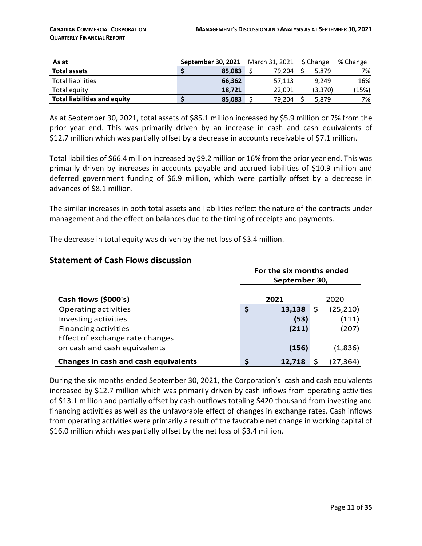| As at                               | September 30, 2021 | March 31, 2021 | S Change | % Change |
|-------------------------------------|--------------------|----------------|----------|----------|
| <b>Total assets</b>                 | 85.083             | 79.204         | 5.879    | 7%       |
| <b>Total liabilities</b>            | 66.362             | 57.113         | 9.249    | 16%      |
| Total equity                        | 18.721             | 22.091         | (3,370)  | (15%)    |
| <b>Total liabilities and equity</b> | 85,083             | 79,204         | 5.879    | 7%       |

As at September 30, 2021, total assets of \$85.1 million increased by \$5.9 million or 7% from the prior year end. This was primarily driven by an increase in cash and cash equivalents of \$12.7 million which was partially offset by a decrease in accounts receivable of \$7.1 million.

Total liabilities of \$66.4 million increased by \$9.2 million or 16% from the prior year end. This was primarily driven by increases in accounts payable and accrued liabilities of \$10.9 million and deferred government funding of \$6.9 million, which were partially offset by a decrease in advances of \$8.1 million.

The similar increases in both total assets and liabilities reflect the nature of the contracts under management and the effect on balances due to the timing of receipts and payments.

The decrease in total equity was driven by the net loss of \$3.4 million.

#### **Statement of Cash Flows discussion**

|                                      | For the six months ended<br>September 30, |        |    |           |  |  |  |  |
|--------------------------------------|-------------------------------------------|--------|----|-----------|--|--|--|--|
|                                      |                                           |        |    |           |  |  |  |  |
| Cash flows (\$000's)                 |                                           | 2021   |    | 2020      |  |  |  |  |
| Operating activities                 | \$                                        | 13,138 | \$ | (25, 210) |  |  |  |  |
| Investing activities                 |                                           | (53)   |    | (111)     |  |  |  |  |
| <b>Financing activities</b>          |                                           | (211)  |    | (207)     |  |  |  |  |
| Effect of exchange rate changes      |                                           |        |    |           |  |  |  |  |
| on cash and cash equivalents         |                                           | (156)  |    | (1,836)   |  |  |  |  |
| Changes in cash and cash equivalents | \$                                        | 12,718 |    | (27.364)  |  |  |  |  |

During the six months ended September 30, 2021, the Corporation's cash and cash equivalents increased by \$12.7 million which was primarily driven by cash inflows from operating activities of \$13.1 million and partially offset by cash outflows totaling \$420 thousand from investing and financing activities as well as the unfavorable effect of changes in exchange rates. Cash inflows from operating activities were primarily a result of the favorable net change in working capital of \$16.0 million which was partially offset by the net loss of \$3.4 million.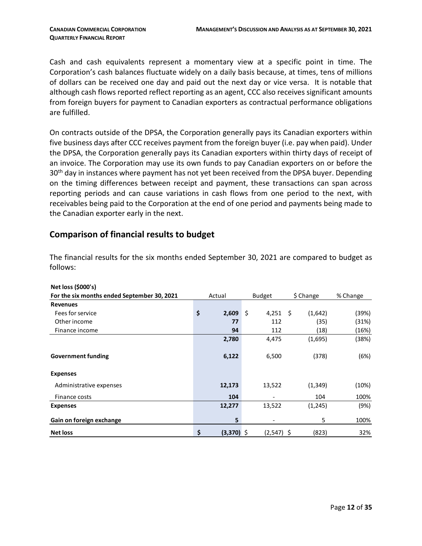Cash and cash equivalents represent a momentary view at a specific point in time. The Corporation's cash balances fluctuate widely on a daily basis because, at times, tens of millions of dollars can be received one day and paid out the next day or vice versa. It is notable that although cash flows reported reflect reporting as an agent, CCC also receives significant amounts from foreign buyers for payment to Canadian exporters as contractual performance obligations are fulfilled.

On contracts outside of the DPSA, the Corporation generally pays its Canadian exporters within five business days after CCC receives payment from the foreign buyer (i.e. pay when paid). Under the DPSA, the Corporation generally pays its Canadian exporters within thirty days of receipt of an invoice. The Corporation may use its own funds to pay Canadian exporters on or before the 30<sup>th</sup> day in instances where payment has not yet been received from the DPSA buyer. Depending on the timing differences between receipt and payment, these transactions can span across reporting periods and can cause variations in cash flows from one period to the next, with receivables being paid to the Corporation at the end of one period and payments being made to the Canadian exporter early in the next.

#### **Comparison of financial results to budget**

The financial results for the six months ended September 30, 2021 are compared to budget as follows:

| Net loss (\$000's)                          |                    |               |    |           |          |
|---------------------------------------------|--------------------|---------------|----|-----------|----------|
| For the six months ended September 30, 2021 | Actual             | <b>Budget</b> |    | \$ Change | % Change |
| <b>Revenues</b>                             |                    |               |    |           |          |
| Fees for service                            | \$<br>2,609        | \$<br>4,251   | Ŝ. | (1,642)   | (39%)    |
| Other income                                | 77                 | 112           |    | (35)      | (31%)    |
| Finance income                              | 94                 | 112           |    | (18)      | (16%)    |
|                                             | 2,780              | 4,475         |    | (1,695)   | (38%)    |
|                                             |                    |               |    |           |          |
| <b>Government funding</b>                   | 6,122              | 6,500         |    | (378)     | (6%)     |
| <b>Expenses</b>                             |                    |               |    |           |          |
| Administrative expenses                     | 12,173             | 13,522        |    | (1, 349)  | (10%)    |
| Finance costs                               | 104                |               |    | 104       | 100%     |
| <b>Expenses</b>                             | 12,277             | 13,522        |    | (1,245)   | (9%)     |
| Gain on foreign exchange                    | 5                  |               |    | 5         | 100%     |
| <b>Net loss</b>                             | \$<br>$(3,370)$ \$ | $(2,547)$ \$  |    | (823)     | 32%      |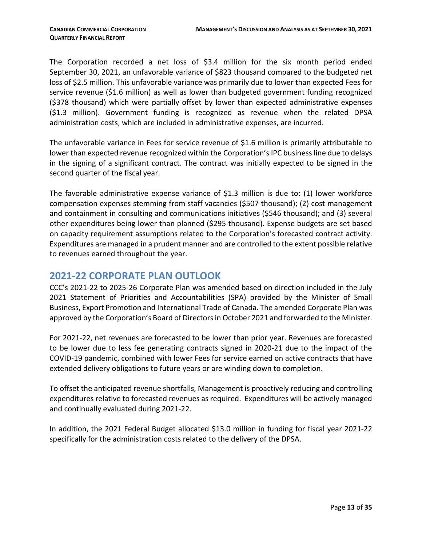The Corporation recorded a net loss of \$3.4 million for the six month period ended September 30, 2021, an unfavorable variance of \$823 thousand compared to the budgeted net loss of \$2.5 million. This unfavorable variance was primarily due to lower than expected Fees for service revenue (\$1.6 million) as well as lower than budgeted government funding recognized (\$378 thousand) which were partially offset by lower than expected administrative expenses (\$1.3 million). Government funding is recognized as revenue when the related DPSA administration costs, which are included in administrative expenses, are incurred.

The unfavorable variance in Fees for service revenue of \$1.6 million is primarily attributable to lower than expected revenue recognized within the Corporation's IPC business line due to delays in the signing of a significant contract. The contract was initially expected to be signed in the second quarter of the fiscal year.

The favorable administrative expense variance of \$1.3 million is due to: (1) lower workforce compensation expenses stemming from staff vacancies (\$507 thousand); (2) cost management and containment in consulting and communications initiatives (\$546 thousand); and (3) several other expenditures being lower than planned (\$295 thousand). Expense budgets are set based on capacity requirement assumptions related to the Corporation's forecasted contract activity. Expenditures are managed in a prudent manner and are controlled to the extent possible relative to revenues earned throughout the year.

# <span id="page-12-0"></span>**2021-22 CORPORATE PLAN OUTLOOK**

CCC's 2021-22 to 2025-26 Corporate Plan was amended based on direction included in the July 2021 Statement of Priorities and Accountabilities (SPA) provided by the Minister of Small Business, Export Promotion and International Trade of Canada. The amended Corporate Plan was approved by the Corporation's Board of Directors in October 2021 and forwarded to the Minister.

For 2021-22, net revenues are forecasted to be lower than prior year. Revenues are forecasted to be lower due to less fee generating contracts signed in 2020-21 due to the impact of the COVID-19 pandemic, combined with lower Fees for service earned on active contracts that have extended delivery obligations to future years or are winding down to completion.

To offset the anticipated revenue shortfalls, Management is proactively reducing and controlling expenditures relative to forecasted revenues as required. Expenditures will be actively managed and continually evaluated during 2021-22.

In addition, the 2021 Federal Budget allocated \$13.0 million in funding for fiscal year 2021-22 specifically for the administration costs related to the delivery of the DPSA.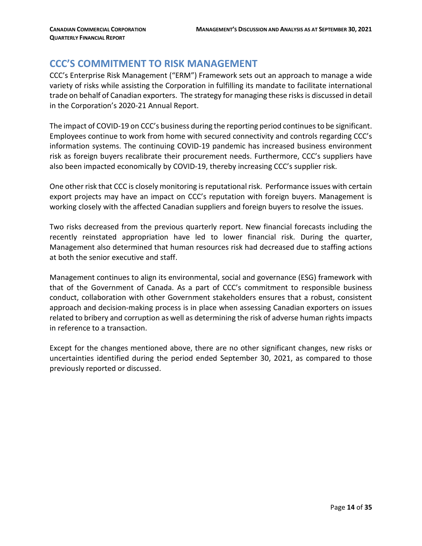# <span id="page-13-0"></span>**CCC'S COMMITMENT TO RISK MANAGEMENT**

CCC's Enterprise Risk Management ("ERM") Framework sets out an approach to manage a wide variety of risks while assisting the Corporation in fulfilling its mandate to facilitate international trade on behalf of Canadian exporters. The strategy for managing these risks is discussed in detail in the Corporation's 2020-21 Annual Report.

The impact of COVID-19 on CCC's business during the reporting period continues to be significant. Employees continue to work from home with secured connectivity and controls regarding CCC's information systems. The continuing COVID-19 pandemic has increased business environment risk as foreign buyers recalibrate their procurement needs. Furthermore, CCC's suppliers have also been impacted economically by COVID-19, thereby increasing CCC's supplier risk.

One other risk that CCC is closely monitoring is reputational risk. Performance issues with certain export projects may have an impact on CCC's reputation with foreign buyers. Management is working closely with the affected Canadian suppliers and foreign buyers to resolve the issues.

Two risks decreased from the previous quarterly report. New financial forecasts including the recently reinstated appropriation have led to lower financial risk. During the quarter, Management also determined that human resources risk had decreased due to staffing actions at both the senior executive and staff.

Management continues to align its environmental, social and governance (ESG) framework with that of the Government of Canada. As a part of CCC's commitment to responsible business conduct, collaboration with other Government stakeholders ensures that a robust, consistent approach and decision-making process is in place when assessing Canadian exporters on issues related to bribery and corruption as well as determining the risk of adverse human rights impacts in reference to a transaction.

Except for the changes mentioned above, there are no other significant changes, new risks or uncertainties identified during the period ended September 30, 2021, as compared to those previously reported or discussed.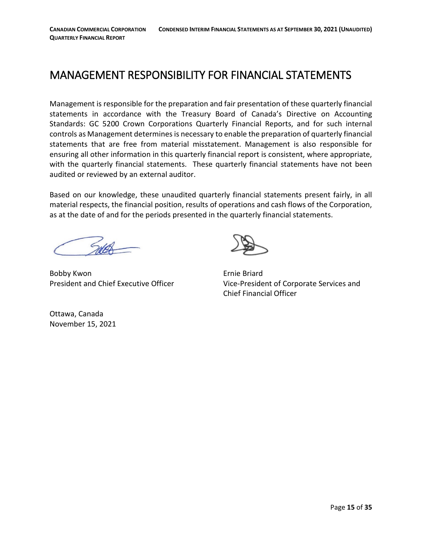# <span id="page-14-0"></span>MANAGEMENT RESPONSIBILITY FOR FINANCIAL STATEMENTS

Management is responsible for the preparation and fair presentation of these quarterly financial statements in accordance with the Treasury Board of Canada's Directive on Accounting Standards: GC 5200 Crown Corporations Quarterly Financial Reports, and for such internal controls as Management determines is necessary to enable the preparation of quarterly financial statements that are free from material misstatement. Management is also responsible for ensuring all other information in this quarterly financial report is consistent, where appropriate, with the quarterly financial statements. These quarterly financial statements have not been audited or reviewed by an external auditor.

Based on our knowledge, these unaudited quarterly financial statements present fairly, in all material respects, the financial position, results of operations and cash flows of the Corporation, as at the date of and for the periods presented in the quarterly financial statements.

Bobby Kwon **Example 2018** Ernie Briard



President and Chief Executive Officer Vice-President of Corporate Services and Chief Financial Officer

Ottawa, Canada November 15, 2021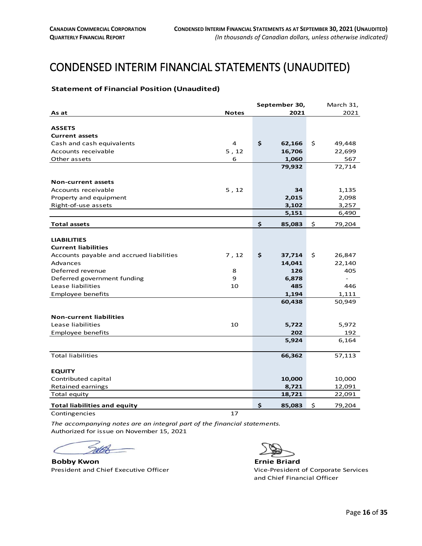# <span id="page-15-0"></span>**CONDENSED INTERIM FINANCIAL STATEMENTS (UNAUDITED)**

#### <span id="page-15-1"></span>**Statement of Financial Position (Unaudited)**

|                                          |              | September 30, | March 31,    |
|------------------------------------------|--------------|---------------|--------------|
| As at                                    | <b>Notes</b> | 2021          | 2021         |
|                                          |              |               |              |
| <b>ASSETS</b>                            |              |               |              |
| <b>Current assets</b>                    |              |               |              |
| Cash and cash equivalents                | 4            | \$<br>62,166  | \$<br>49,448 |
| Accounts receivable                      | 5, 12        | 16,706        | 22,699       |
| Other assets                             | 6            | 1,060         | 567          |
|                                          |              | 79,932        | 72,714       |
| <b>Non-current assets</b>                |              |               |              |
| Accounts receivable                      | 5, 12        | 34            | 1,135        |
| Property and equipment                   |              | 2,015         | 2,098        |
| Right-of-use assets                      |              | 3,102         | 3,257        |
|                                          |              | 5,151         | 6,490        |
| <b>Total assets</b>                      |              | \$<br>85,083  | \$<br>79,204 |
|                                          |              |               |              |
| <b>LIABILITIES</b>                       |              |               |              |
| <b>Current liabilities</b>               |              |               |              |
| Accounts payable and accrued liabilities | 7, 12        | \$<br>37,714  | \$<br>26,847 |
| Advances                                 |              | 14,041        | 22,140       |
| Deferred revenue                         | 8            | 126           | 405          |
| Deferred government funding              | 9            | 6,878         |              |
| Lease liabilities                        | 10           | 485           | 446          |
| Employee benefits                        |              | 1,194         | 1,111        |
|                                          |              | 60,438        | 50,949       |
|                                          |              |               |              |
| <b>Non-current liabilities</b>           |              |               |              |
| Lease liabilities                        | 10           | 5,722         | 5,972        |
| Employee benefits                        |              | 202           | 192          |
|                                          |              | 5,924         | 6,164        |
| <b>Total liabilities</b>                 |              | 66,362        | 57,113       |
| <b>EQUITY</b>                            |              |               |              |
| Contributed capital                      |              | 10,000        | 10,000       |
| Retained earnings                        |              | 8,721         | 12,091       |
| Total equity                             |              | 18,721        | 22,091       |
| <b>Total liabilities and equity</b>      |              | \$<br>85,083  | \$<br>79,204 |
| Contingencies                            | 17           |               |              |

*The accompanying notes are an integral part of the financial statements.* Authorized for issue on November 15, 2021

 $\epsilon$ C

**Bobby Kwon**<br> **Ernie Briard**<br> **President and Chief Executive Officer Ernie Briard**Vice-President of Corporate Services President and Chief Executive Officer

and Chief Financial Officer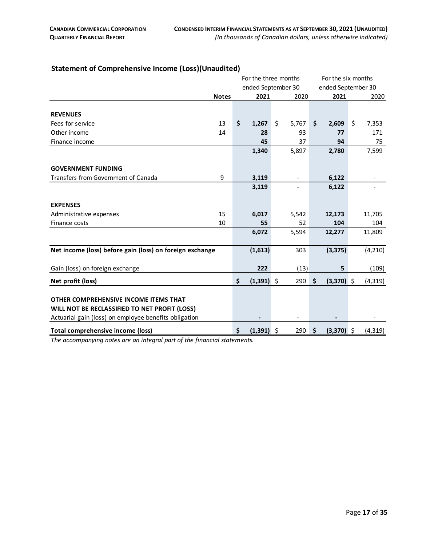|                                                          |                    | For the three months |              |                    |                          | For the six months |              |    |          |
|----------------------------------------------------------|--------------------|----------------------|--------------|--------------------|--------------------------|--------------------|--------------|----|----------|
|                                                          | ended September 30 |                      |              | ended September 30 |                          |                    |              |    |          |
|                                                          | <b>Notes</b>       |                      | 2021         |                    | 2020                     |                    | 2021         |    | 2020     |
|                                                          |                    |                      |              |                    |                          |                    |              |    |          |
| <b>REVENUES</b>                                          |                    |                      |              |                    |                          |                    |              |    |          |
| Fees for service                                         | 13                 | \$                   | 1,267        | \$                 | 5,767                    | \$                 | 2,609        | \$ | 7,353    |
| Other income                                             | 14                 |                      | 28           |                    | 93                       |                    | 77           |    | 171      |
| Finance income                                           |                    |                      | 45           |                    | 37                       |                    | 94           |    | 75       |
|                                                          |                    |                      | 1,340        |                    | 5,897                    |                    | 2,780        |    | 7,599    |
|                                                          |                    |                      |              |                    |                          |                    |              |    |          |
| <b>GOVERNMENT FUNDING</b>                                |                    |                      |              |                    |                          |                    |              |    |          |
| Transfers from Government of Canada                      | 9                  |                      | 3,119        |                    | $\overline{\phantom{a}}$ |                    | 6,122        |    |          |
|                                                          |                    |                      | 3,119        |                    |                          |                    | 6,122        |    |          |
|                                                          |                    |                      |              |                    |                          |                    |              |    |          |
| <b>EXPENSES</b>                                          |                    |                      |              |                    |                          |                    |              |    |          |
| Administrative expenses                                  | 15                 |                      | 6,017        |                    | 5,542                    |                    | 12,173       |    | 11,705   |
| Finance costs                                            | 10                 |                      | 55           |                    | 52                       |                    | 104          |    | 104      |
|                                                          |                    |                      | 6,072        |                    | 5,594                    |                    | 12,277       |    | 11,809   |
|                                                          |                    |                      |              |                    |                          |                    |              |    |          |
| Net income (loss) before gain (loss) on foreign exchange |                    |                      | (1,613)      |                    | 303                      |                    | (3, 375)     |    | (4, 210) |
|                                                          |                    |                      |              |                    |                          |                    |              |    |          |
| Gain (loss) on foreign exchange                          |                    |                      | 222          |                    | (13)                     |                    | 5            |    | (109)    |
| Net profit (loss)                                        |                    | \$                   | $(1,391)$ \$ |                    | 290                      | \$                 | $(3,370)$ \$ |    | (4, 319) |
|                                                          |                    |                      |              |                    |                          |                    |              |    |          |
| OTHER COMPREHENSIVE INCOME ITEMS THAT                    |                    |                      |              |                    |                          |                    |              |    |          |
| WILL NOT BE RECLASSIFIED TO NET PROFIT (LOSS)            |                    |                      |              |                    |                          |                    |              |    |          |
| Actuarial gain (loss) on employee benefits obligation    |                    |                      |              |                    |                          |                    |              |    |          |
|                                                          |                    |                      |              |                    |                          |                    |              |    |          |
| Total comprehensive income (loss)                        |                    | \$                   | $(1,391)$ \$ |                    | 290                      | Ŝ.                 | $(3,370)$ \$ |    | (4, 319) |

#### <span id="page-16-0"></span>**Statement of Comprehensive Income (Loss)(Unaudited)**

*The accompanying notes are an integral part of the financial statements.*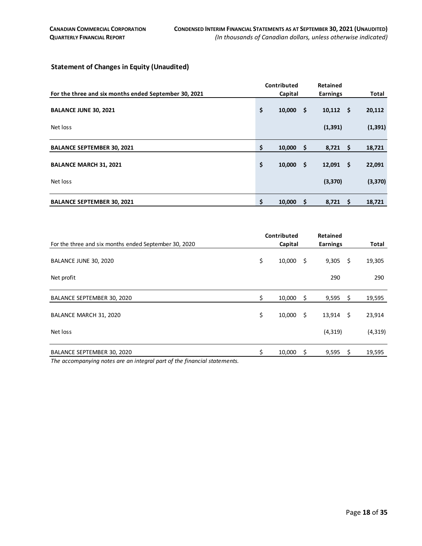#### <span id="page-17-0"></span>**Statement of Changes in Equity (Unaudited)**

|                                                       | Contributed         | Retained          |          |
|-------------------------------------------------------|---------------------|-------------------|----------|
| For the three and six months ended September 30, 2021 | Capital             | <b>Earnings</b>   | Total    |
| <b>BALANCE JUNE 30, 2021</b>                          | \$<br>-\$<br>10,000 | $10,112 \quad$ \$ | 20,112   |
| Net loss                                              |                     | (1, 391)          | (1, 391) |
| <b>BALANCE SEPTEMBER 30, 2021</b>                     | \$<br>10,000<br>-\$ | $8,721$ \$        | 18,721   |
| <b>BALANCE MARCH 31, 2021</b>                         | \$<br>-\$<br>10,000 | $12,091$ \$       | 22,091   |
| Net loss                                              |                     | (3, 370)          | (3, 370) |
| <b>BALANCE SEPTEMBER 30, 2021</b>                     | \$<br>\$<br>10,000  | $8,721$ \$        | 18,721   |

|                                                                         | Contributed |         |     | <b>Retained</b> |     |          |
|-------------------------------------------------------------------------|-------------|---------|-----|-----------------|-----|----------|
| For the three and six months ended September 30, 2020                   |             | Capital |     | <b>Earnings</b> |     | Total    |
| BALANCE JUNE 30, 2020                                                   | \$          | 10,000  | \$. | $9,305$ \$      |     | 19,305   |
| Net profit                                                              |             |         |     | 290             |     | 290      |
| BALANCE SEPTEMBER 30, 2020                                              | \$          | 10,000  | \$. | $9,595$ \$      |     | 19,595   |
| BALANCE MARCH 31, 2020                                                  | \$          | 10,000  | \$. | $13,914$ \$     |     | 23,914   |
| Net loss                                                                |             |         |     | (4, 319)        |     | (4, 319) |
| BALANCE SEPTEMBER 30, 2020                                              | \$          | 10,000  | \$  | 9,595           | -\$ | 19,595   |
| The accompanying notes are an integral part of the financial statements |             |         |     |                 |     |          |

*The accompanying notes are an integral part of the financial statements.*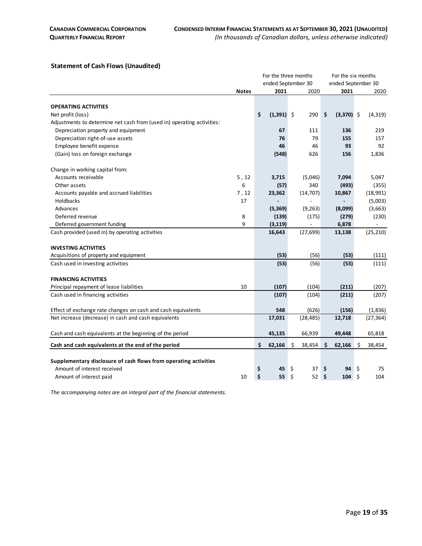#### <span id="page-18-0"></span>**Statement of Cash Flows (Unaudited)**

|                                                                        |              |                    | For the three months | For the six months |              |  |
|------------------------------------------------------------------------|--------------|--------------------|----------------------|--------------------|--------------|--|
|                                                                        |              |                    | ended September 30   | ended September 30 |              |  |
|                                                                        | <b>Notes</b> | 2021               | 2020                 | 2021               | 2020         |  |
|                                                                        |              |                    |                      |                    |              |  |
| <b>OPERATING ACTIVITIES</b>                                            |              |                    |                      |                    |              |  |
| Net profit (loss)                                                      |              | \$<br>$(1,391)$ \$ | 290                  | \$<br>$(3,370)$ \$ | (4, 319)     |  |
| Adjustments to determine net cash from (used in) operating activities: |              |                    |                      |                    |              |  |
| Depreciation property and equipment                                    |              | 67                 | 111                  | 136                | 219          |  |
| Depreciation right-of-use assets                                       |              | 76                 | 79                   | 155                | 157          |  |
| Employee benefit expense                                               |              | 46                 | 46                   | 93                 | 92           |  |
| (Gain) loss on foreign exchange                                        |              | (548)              | 626                  | 156                | 1,836        |  |
| Change in working capital from:                                        |              |                    |                      |                    |              |  |
| Accounts receivable                                                    | 5, 12        | 3,715              | (5,046)              | 7,094              | 5,047        |  |
| Other assets                                                           | 6            | (57)               | 340                  | (493)              | (355)        |  |
| Accounts payable and accrued liabilities                               | 7, 12        | 23,362             | (14, 707)            | 10,867             | (18,991)     |  |
| Holdbacks                                                              | 17           |                    |                      |                    | (5,003)      |  |
| Advances                                                               |              | (5,369)            | (9, 263)             | (8,099)            | (3,663)      |  |
| Deferred revenue                                                       | 8            | (139)              | (175)                | (279)              | (230)        |  |
| Deferred government funding                                            | 9            | (3, 119)           |                      | 6,878              |              |  |
| Cash provided (used in) by operating activities                        |              | 16,643             | (27, 699)            | 13,138             | (25, 210)    |  |
| <b>INVESTING ACTIVITIES</b>                                            |              |                    |                      |                    |              |  |
| Acquisitions of property and equipment                                 |              | (53)               | (56)                 | (53)               | (111)        |  |
| Cash used in investing activities                                      |              | (53)               | (56)                 | (53)               | (111)        |  |
| <b>FINANCING ACTIVITIES</b>                                            |              |                    |                      |                    |              |  |
| Principal repayment of lease liabilities                               | 10           | (107)              | (104)                | (211)              | (207)        |  |
| Cash used in financing activities                                      |              | (107)              | (104)                | (211)              | (207)        |  |
| Effect of exchange rate changes on cash and cash equivalents           |              | 548                | (626)                | (156)              | (1,836)      |  |
| Net increase (decrease) in cash and cash equivalents                   |              | 17,031             | (28, 485)            | 12,718             | (27, 364)    |  |
| Cash and cash equivalents at the beginning of the period               |              | 45,135             | 66,939               | 49,448             | 65,818       |  |
| Cash and cash equivalents at the end of the period                     |              | \$<br>62,166       | \$<br>38,454         | \$<br>62,166       | \$<br>38,454 |  |
|                                                                        |              |                    |                      |                    |              |  |
| Supplementary disclosure of cash flows from operating activities       |              |                    |                      |                    |              |  |
| Amount of interest received                                            |              | \$<br>45           | \$<br>37             | \$<br>94           | -\$<br>75    |  |
| Amount of interest paid                                                | 10           | \$<br>55           | \$<br>52             | \$<br>$104 \div$   | 104          |  |

*The accompanying notes are an integral part of the financial statements.*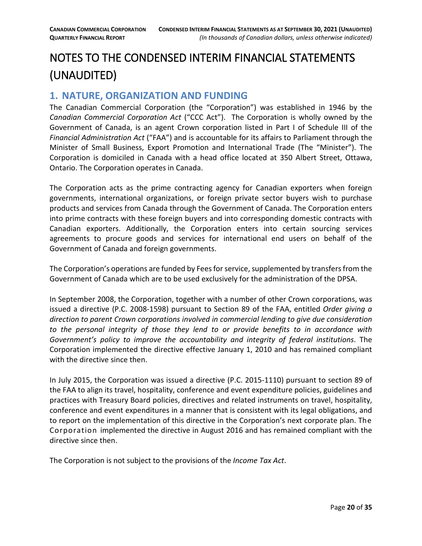# <span id="page-19-0"></span>NOTES TO THE CONDENSED INTERIM FINANCIAL STATEMENTS (UNAUDITED)

# <span id="page-19-1"></span>**1. NATURE, ORGANIZATION AND FUNDING**

The Canadian Commercial Corporation (the "Corporation") was established in 1946 by the *Canadian Commercial Corporation Act* ("CCC Act"). The Corporation is wholly owned by the Government of Canada, is an agent Crown corporation listed in Part I of Schedule III of the *Financial Administration Act* ("FAA") and is accountable for its affairs to Parliament through the Minister of Small Business, Export Promotion and International Trade (The "Minister"). The Corporation is domiciled in Canada with a head office located at 350 Albert Street, Ottawa, Ontario. The Corporation operates in Canada.

The Corporation acts as the prime contracting agency for Canadian exporters when foreign governments, international organizations, or foreign private sector buyers wish to purchase products and services from Canada through the Government of Canada. The Corporation enters into prime contracts with these foreign buyers and into corresponding domestic contracts with Canadian exporters. Additionally, the Corporation enters into certain sourcing services agreements to procure goods and services for international end users on behalf of the Government of Canada and foreign governments.

The Corporation's operations are funded by Fees for service, supplemented by transfers from the Government of Canada which are to be used exclusively for the administration of the DPSA.

In September 2008, the Corporation, together with a number of other Crown corporations, was issued a directive (P.C. 2008-1598) pursuant to Section 89 of the FAA, entitled *Order giving a direction to parent Crown corporations involved in commercial lending to give due consideration to the personal integrity of those they lend to or provide benefits to in accordance with Government's policy to improve the accountability and integrity of federal institutions*. The Corporation implemented the directive effective January 1, 2010 and has remained compliant with the directive since then.

In July 2015, the Corporation was issued a directive (P.C. 2015-1110) pursuant to section 89 of the FAA to align its travel, hospitality, conference and event expenditure policies, guidelines and practices with Treasury Board policies, directives and related instruments on travel, hospitality, conference and event expenditures in a manner that is consistent with its legal obligations, and to report on the implementation of this directive in the Corporation's next corporate plan. The Corporation implemented the directive in August 2016 and has remained compliant with the directive since then.

The Corporation is not subject to the provisions of the *Income Tax Act*.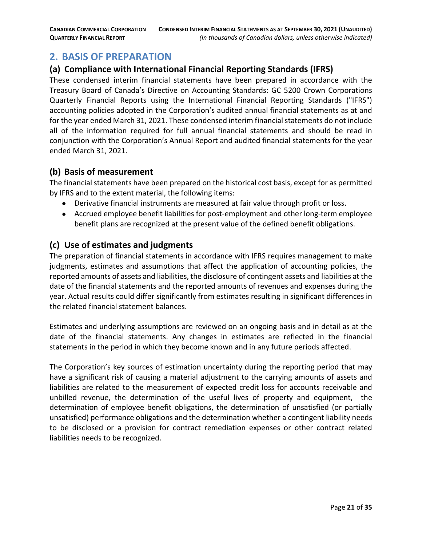# <span id="page-20-0"></span>**2. BASIS OF PREPARATION**

### **(a) Compliance with International Financial Reporting Standards (IFRS)**

These condensed interim financial statements have been prepared in accordance with the Treasury Board of Canada's Directive on Accounting Standards: GC 5200 Crown Corporations Quarterly Financial Reports using the International Financial Reporting Standards ("IFRS") accounting policies adopted in the Corporation's audited annual financial statements as at and for the year ended March 31, 2021. These condensed interim financial statements do not include all of the information required for full annual financial statements and should be read in conjunction with the Corporation's Annual Report and audited financial statements for the year ended March 31, 2021.

#### **(b) Basis of measurement**

The financial statements have been prepared on the historical cost basis, except for as permitted by IFRS and to the extent material, the following items:

- Derivative financial instruments are measured at fair value through profit or loss.
- Accrued employee benefit liabilities for post-employment and other long-term employee benefit plans are recognized at the present value of the defined benefit obligations.

#### **(c) Use of estimates and judgments**

The preparation of financial statements in accordance with IFRS requires management to make judgments, estimates and assumptions that affect the application of accounting policies, the reported amounts of assets and liabilities, the disclosure of contingent assets and liabilities at the date of the financial statements and the reported amounts of revenues and expenses during the year. Actual results could differ significantly from estimates resulting in significant differences in the related financial statement balances.

Estimates and underlying assumptions are reviewed on an ongoing basis and in detail as at the date of the financial statements. Any changes in estimates are reflected in the financial statements in the period in which they become known and in any future periods affected.

The Corporation's key sources of estimation uncertainty during the reporting period that may have a significant risk of causing a material adjustment to the carrying amounts of assets and liabilities are related to the measurement of expected credit loss for accounts receivable and unbilled revenue, the determination of the useful lives of property and equipment, the determination of employee benefit obligations, the determination of unsatisfied (or partially unsatisfied) performance obligations and the determination whether a contingent liability needs to be disclosed or a provision for contract remediation expenses or other contract related liabilities needs to be recognized.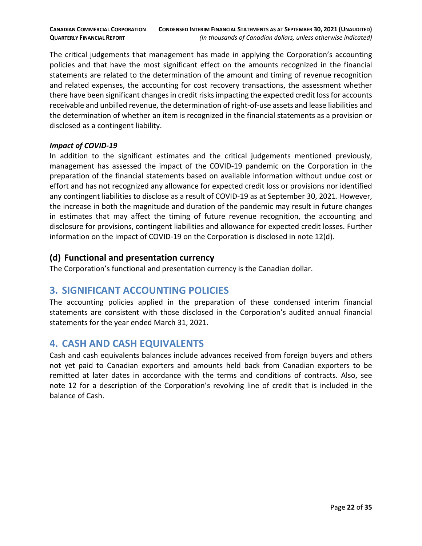The critical judgements that management has made in applying the Corporation's accounting policies and that have the most significant effect on the amounts recognized in the financial statements are related to the determination of the amount and timing of revenue recognition and related expenses, the accounting for cost recovery transactions, the assessment whether there have been significant changes in credit risks impacting the expected credit loss for accounts receivable and unbilled revenue, the determination of right-of-use assets and lease liabilities and the determination of whether an item is recognized in the financial statements as a provision or disclosed as a contingent liability.

#### *Impact of COVID-19*

In addition to the significant estimates and the critical judgements mentioned previously, management has assessed the impact of the COVID-19 pandemic on the Corporation in the preparation of the financial statements based on available information without undue cost or effort and has not recognized any allowance for expected credit loss or provisions nor identified any contingent liabilities to disclose as a result of COVID-19 as at September 30, 2021. However, the increase in both the magnitude and duration of the pandemic may result in future changes in estimates that may affect the timing of future revenue recognition, the accounting and disclosure for provisions, contingent liabilities and allowance for expected credit losses. Further information on the impact of COVID-19 on the Corporation is disclosed in note 12(d).

#### **(d) Functional and presentation currency**

The Corporation's functional and presentation currency is the Canadian dollar.

# <span id="page-21-0"></span>**3. SIGNIFICANT ACCOUNTING POLICIES**

The accounting policies applied in the preparation of these condensed interim financial statements are consistent with those disclosed in the Corporation's audited annual financial statements for the year ended March 31, 2021.

# <span id="page-21-1"></span>**4. CASH AND CASH EQUIVALENTS**

Cash and cash equivalents balances include advances received from foreign buyers and others not yet paid to Canadian exporters and amounts held back from Canadian exporters to be remitted at later dates in accordance with the terms and conditions of contracts. Also, see note 12 for a description of the Corporation's revolving line of credit that is included in the balance of Cash.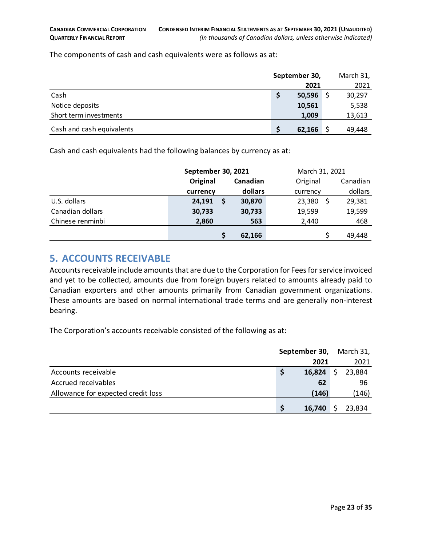The components of cash and cash equivalents were as follows as at:

|                           | September 30, |        |  | March 31, |  |
|---------------------------|---------------|--------|--|-----------|--|
|                           |               | 2021   |  | 2021      |  |
| Cash                      |               | 50,596 |  | 30,297    |  |
| Notice deposits           |               | 10,561 |  | 5,538     |  |
| Short term investments    |               | 1,009  |  | 13,613    |  |
| Cash and cash equivalents |               | 62,166 |  | 49,448    |  |

Cash and cash equivalents had the following balances by currency as at:

|                  | September 30, 2021 |          | March 31, 2021 |          |
|------------------|--------------------|----------|----------------|----------|
|                  | Original           | Canadian | Original       | Canadian |
|                  | currency           | dollars  | currency       | dollars  |
| U.S. dollars     | 24,191             | 30,870   | 23,380         | 29,381   |
| Canadian dollars | 30,733             | 30,733   | 19,599         | 19,599   |
| Chinese renminbi | 2,860              | 563      | 2,440          | 468      |
|                  |                    | 62,166   |                | 49,448   |

### <span id="page-22-0"></span>**5. ACCOUNTS RECEIVABLE**

Accounts receivable include amounts that are due to the Corporation for Fees for service invoiced and yet to be collected, amounts due from foreign buyers related to amounts already paid to Canadian exporters and other amounts primarily from Canadian government organizations. These amounts are based on normal international trade terms and are generally non-interest bearing.

The Corporation's accounts receivable consisted of the following as at:

|                                    | September 30, |        |    | March 31, |
|------------------------------------|---------------|--------|----|-----------|
|                                    |               | 2021   |    | 2021      |
| Accounts receivable                |               | 16,824 | Ŝ. | 23,884    |
| Accrued receivables                |               | 62     |    | 96        |
| Allowance for expected credit loss |               | (146)  |    | (146)     |
|                                    |               | 16,740 |    | 23,834    |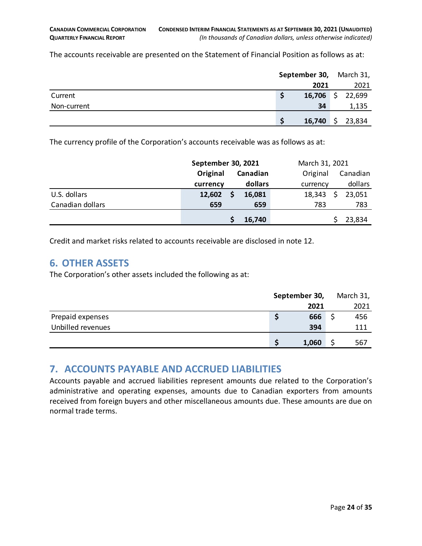The accounts receivable are presented on the Statement of Financial Position as follows as at:

|             | September 30, March 31,     |    |        |
|-------------|-----------------------------|----|--------|
|             | 2021                        |    | 2021   |
| Current     | 16,706 $\frac{1}{2}$ 22,699 |    |        |
| Non-current | 34                          |    | 1,135  |
|             | 16,740                      | \$ | 23,834 |

The currency profile of the Corporation's accounts receivable was as follows as at:

|                  | September 30, 2021 |          | March 31, 2021 |          |  |
|------------------|--------------------|----------|----------------|----------|--|
|                  | Original           | Canadian | Original       | Canadian |  |
|                  | currency           | dollars  | currency       | dollars  |  |
| U.S. dollars     | 12,602             | 16,081   | 18,343         | 23,051   |  |
| Canadian dollars | 659                | 659      | 783            | 783      |  |
|                  |                    | 16,740   |                | 23,834   |  |

Credit and market risks related to accounts receivable are disclosed in note 12.

### <span id="page-23-0"></span>**6. OTHER ASSETS**

The Corporation's other assets included the following as at:

|                   | September 30, |       | March 31, |
|-------------------|---------------|-------|-----------|
|                   |               | 2021  | 2021      |
| Prepaid expenses  |               | 666   | 456       |
| Unbilled revenues |               | 394   | 111       |
|                   | S             | 1,060 | 567       |

# <span id="page-23-1"></span>**7. ACCOUNTS PAYABLE AND ACCRUED LIABILITIES**

Accounts payable and accrued liabilities represent amounts due related to the Corporation's administrative and operating expenses, amounts due to Canadian exporters from amounts received from foreign buyers and other miscellaneous amounts due. These amounts are due on normal trade terms.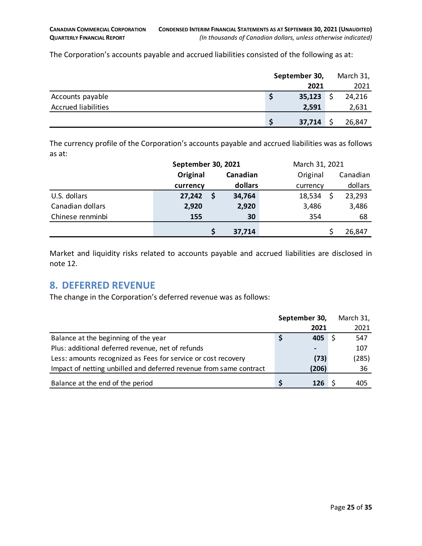The Corporation's accounts payable and accrued liabilities consisted of the following as at:

|                            | September 30, | March 31, |
|----------------------------|---------------|-----------|
|                            | 2021          | 2021      |
| Accounts payable           | 35,123        | 24,216    |
| <b>Accrued liabilities</b> | 2,591         | 2,631     |
|                            | 37,714        | 26,847    |

The currency profile of the Corporation's accounts payable and accrued liabilities was as follows as at:

|                  | September 30, 2021 |          | March 31, 2021 |          |  |
|------------------|--------------------|----------|----------------|----------|--|
|                  | Original           | Canadian | Original       | Canadian |  |
|                  | currency           | dollars  | currency       | dollars  |  |
| U.S. dollars     | 27,242             | 34,764   | 18,534         | 23,293   |  |
| Canadian dollars | 2,920              | 2,920    | 3,486          | 3,486    |  |
| Chinese renminbi | 155                | 30       | 354            | 68       |  |
|                  |                    | 37,714   |                | 26,847   |  |

Market and liquidity risks related to accounts payable and accrued liabilities are disclosed in note 12.

#### <span id="page-24-0"></span>**8. DEFERRED REVENUE**

The change in the Corporation's deferred revenue was as follows:

|                                                                    |   | September 30,                                                                                                                                                                                                                                                                                                                                                 | March 31, |
|--------------------------------------------------------------------|---|---------------------------------------------------------------------------------------------------------------------------------------------------------------------------------------------------------------------------------------------------------------------------------------------------------------------------------------------------------------|-----------|
|                                                                    |   | 2021                                                                                                                                                                                                                                                                                                                                                          | 2021      |
| Balance at the beginning of the year                               | S | 405                                                                                                                                                                                                                                                                                                                                                           | 547       |
| Plus: additional deferred revenue, net of refunds                  |   | $\hskip1.6pt\hskip1.6pt\hskip1.6pt\hskip1.6pt\hskip1.6pt\hskip1.6pt\hskip1.6pt\hskip1.6pt\hskip1.6pt\hskip1.6pt\hskip1.6pt\hskip1.6pt\hskip1.6pt\hskip1.6pt\hskip1.6pt\hskip1.6pt\hskip1.6pt\hskip1.6pt\hskip1.6pt\hskip1.6pt\hskip1.6pt\hskip1.6pt\hskip1.6pt\hskip1.6pt\hskip1.6pt\hskip1.6pt\hskip1.6pt\hskip1.6pt\hskip1.6pt\hskip1.6pt\hskip1.6pt\hskip$ | 107       |
| Less: amounts recognized as Fees for service or cost recovery      |   | (73)                                                                                                                                                                                                                                                                                                                                                          | (285)     |
| Impact of netting unbilled and deferred revenue from same contract |   | (206)                                                                                                                                                                                                                                                                                                                                                         | 36        |
| Balance at the end of the period                                   |   | 126                                                                                                                                                                                                                                                                                                                                                           | 405       |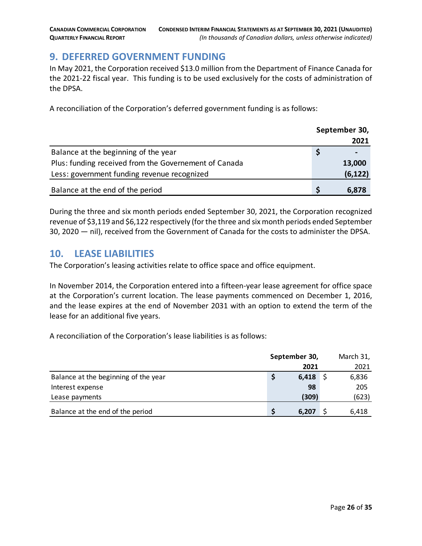# <span id="page-25-0"></span>**9. DEFERRED GOVERNMENT FUNDING**

In May 2021, the Corporation received \$13.0 million from the Department of Finance Canada for the 2021-22 fiscal year. This funding is to be used exclusively for the costs of administration of the DPSA.

A reconciliation of the Corporation's deferred government funding is as follows:

|                                                       | September 30, |          |
|-------------------------------------------------------|---------------|----------|
|                                                       |               | 2021     |
| Balance at the beginning of the year                  |               |          |
| Plus: funding received from the Governement of Canada |               | 13,000   |
| Less: government funding revenue recognized           |               | (6, 122) |
| Balance at the end of the period                      |               | 6,878    |

During the three and six month periods ended September 30, 2021, the Corporation recognized revenue of \$3,119 and \$6,122 respectively (for the three and six month periods ended September 30, 2020 — nil), received from the Government of Canada for the costs to administer the DPSA.

# <span id="page-25-1"></span>**10. LEASE LIABILITIES**

The Corporation's leasing activities relate to office space and office equipment.

In November 2014, the Corporation entered into a fifteen-year lease agreement for office space at the Corporation's current location. The lease payments commenced on December 1, 2016, and the lease expires at the end of November 2031 with an option to extend the term of the lease for an additional five years.

A reconciliation of the Corporation's lease liabilities is as follows:

|                                      | September 30, |       |  | March 31, |
|--------------------------------------|---------------|-------|--|-----------|
|                                      |               | 2021  |  | 2021      |
| Balance at the beginning of the year |               | 6,418 |  | 6,836     |
| Interest expense                     |               | 98    |  | 205       |
| Lease payments                       |               | (309) |  | (623)     |
| Balance at the end of the period     |               | 6,207 |  | 6,418     |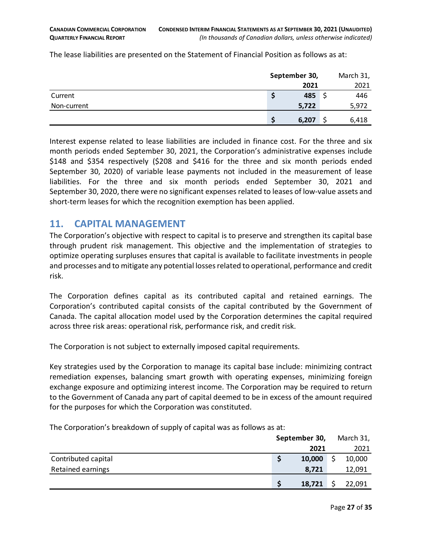The lease liabilities are presented on the Statement of Financial Position as follows as at:

|             | September 30, | March 31, |  |  |
|-------------|---------------|-----------|--|--|
|             | 2021          | 2021      |  |  |
| Current     | 485           | 446       |  |  |
| Non-current | 5,722         | 5,972     |  |  |
|             | 6,207         | 6,418     |  |  |

Interest expense related to lease liabilities are included in finance cost. For the three and six month periods ended September 30, 2021, the Corporation's administrative expenses include \$148 and \$354 respectively (\$208 and \$416 for the three and six month periods ended September 30, 2020) of variable lease payments not included in the measurement of lease liabilities. For the three and six month periods ended September 30, 2021 and September 30, 2020, there were no significant expenses related to leases of low-value assets and short-term leases for which the recognition exemption has been applied.

# <span id="page-26-0"></span>**11. CAPITAL MANAGEMENT**

The Corporation's objective with respect to capital is to preserve and strengthen its capital base through prudent risk management. This objective and the implementation of strategies to optimize operating surpluses ensures that capital is available to facilitate investments in people and processes and to mitigate any potential losses related to operational, performance and credit risk.

The Corporation defines capital as its contributed capital and retained earnings. The Corporation's contributed capital consists of the capital contributed by the Government of Canada. The capital allocation model used by the Corporation determines the capital required across three risk areas: operational risk, performance risk, and credit risk.

The Corporation is not subject to externally imposed capital requirements.

Key strategies used by the Corporation to manage its capital base include: minimizing contract remediation expenses, balancing smart growth with operating expenses, minimizing foreign exchange exposure and optimizing interest income. The Corporation may be required to return to the Government of Canada any part of capital deemed to be in excess of the amount required for the purposes for which the Corporation was constituted.

The Corporation's breakdown of supply of capital was as follows as at:

|                     | September 30, |        |  | March 31, |
|---------------------|---------------|--------|--|-----------|
|                     |               | 2021   |  | 2021      |
| Contributed capital |               | 10,000 |  | 10,000    |
| Retained earnings   |               | 8,721  |  | 12,091    |
|                     |               | 18,721 |  | 22,091    |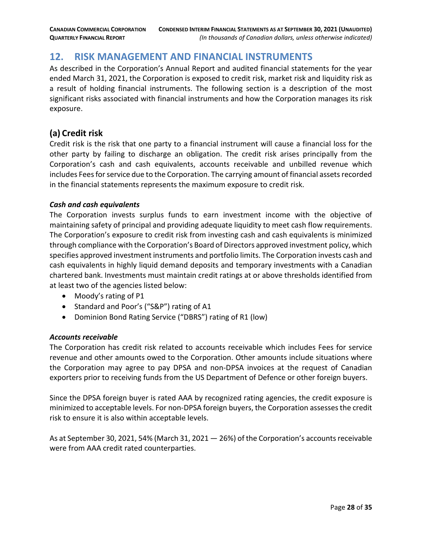# <span id="page-27-0"></span>**12. RISK MANAGEMENT AND FINANCIAL INSTRUMENTS**

As described in the Corporation's Annual Report and audited financial statements for the year ended March 31, 2021, the Corporation is exposed to credit risk, market risk and liquidity risk as a result of holding financial instruments. The following section is a description of the most significant risks associated with financial instruments and how the Corporation manages its risk exposure.

### **(a) Credit risk**

Credit risk is the risk that one party to a financial instrument will cause a financial loss for the other party by failing to discharge an obligation. The credit risk arises principally from the Corporation's cash and cash equivalents, accounts receivable and unbilled revenue which includes Fees for service due to the Corporation. The carrying amount of financial assets recorded in the financial statements represents the maximum exposure to credit risk.

#### *Cash and cash equivalents*

The Corporation invests surplus funds to earn investment income with the objective of maintaining safety of principal and providing adequate liquidity to meet cash flow requirements. The Corporation's exposure to credit risk from investing cash and cash equivalents is minimized through compliance with the Corporation's Board of Directors approved investment policy, which specifies approved investment instruments and portfolio limits. The Corporation invests cash and cash equivalents in highly liquid demand deposits and temporary investments with a Canadian chartered bank. Investments must maintain credit ratings at or above thresholds identified from at least two of the agencies listed below:

- Moody's rating of P1
- Standard and Poor's ("S&P") rating of A1
- Dominion Bond Rating Service ("DBRS") rating of R1 (low)

#### *Accounts receivable*

The Corporation has credit risk related to accounts receivable which includes Fees for service revenue and other amounts owed to the Corporation. Other amounts include situations where the Corporation may agree to pay DPSA and non-DPSA invoices at the request of Canadian exporters prior to receiving funds from the US Department of Defence or other foreign buyers.

Since the DPSA foreign buyer is rated AAA by recognized rating agencies, the credit exposure is minimized to acceptable levels. For non-DPSA foreign buyers, the Corporation assesses the credit risk to ensure it is also within acceptable levels.

As at September 30, 2021, 54% (March 31, 2021 — 26%) of the Corporation's accounts receivable were from AAA credit rated counterparties.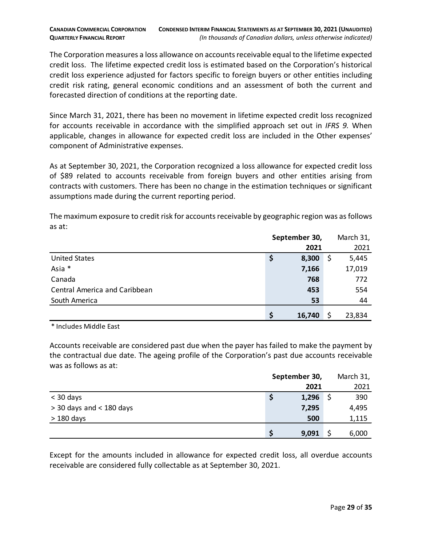The Corporation measures a loss allowance on accounts receivable equal to the lifetime expected credit loss. The lifetime expected credit loss is estimated based on the Corporation's historical credit loss experience adjusted for factors specific to foreign buyers or other entities including credit risk rating, general economic conditions and an assessment of both the current and forecasted direction of conditions at the reporting date.

Since March 31, 2021, there has been no movement in lifetime expected credit loss recognized for accounts receivable in accordance with the simplified approach set out in *IFRS 9.* When applicable, changes in allowance for expected credit loss are included in the Other expenses' component of Administrative expenses.

As at September 30, 2021, the Corporation recognized a loss allowance for expected credit loss of \$89 related to accounts receivable from foreign buyers and other entities arising from contracts with customers. There has been no change in the estimation techniques or significant assumptions made during the current reporting period.

The maximum exposure to credit risk for accounts receivable by geographic region was as follows as at:

|                                      | September 30, |        |    | March 31, |
|--------------------------------------|---------------|--------|----|-----------|
|                                      |               | 2021   |    | 2021      |
| <b>United States</b>                 | Ş             | 8,300  | \$ | 5,445     |
| Asia *                               |               | 7,166  |    | 17,019    |
| Canada                               |               | 768    |    | 772       |
| <b>Central America and Caribbean</b> |               | 453    |    | 554       |
| South America                        |               | 53     |    | 44        |
|                                      |               | 16,740 |    | 23,834    |

\* Includes Middle East

Accounts receivable are considered past due when the payer has failed to make the payment by the contractual due date. The ageing profile of the Corporation's past due accounts receivable was as follows as at:

|                            |   | September 30, | March 31, |
|----------------------------|---|---------------|-----------|
|                            |   | 2021          | 2021      |
| $<$ 30 days                | Ş | 1,296         | 390       |
| $>$ 30 days and < 180 days |   | 7,295         | 4,495     |
| $>180$ days                |   | 500           | 1,115     |
|                            |   | 9,091         | 6,000     |

Except for the amounts included in allowance for expected credit loss, all overdue accounts receivable are considered fully collectable as at September 30, 2021.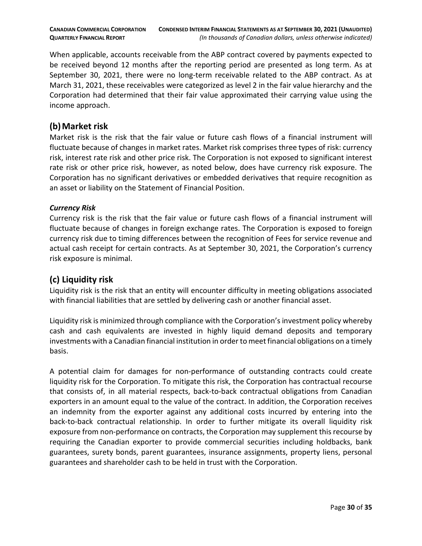When applicable, accounts receivable from the ABP contract covered by payments expected to be received beyond 12 months after the reporting period are presented as long term. As at September 30, 2021, there were no long-term receivable related to the ABP contract. As at March 31, 2021, these receivables were categorized as level 2 in the fair value hierarchy and the Corporation had determined that their fair value approximated their carrying value using the income approach.

#### **(b)Market risk**

Market risk is the risk that the fair value or future cash flows of a financial instrument will fluctuate because of changes in market rates. Market risk comprises three types of risk: currency risk, interest rate risk and other price risk. The Corporation is not exposed to significant interest rate risk or other price risk, however, as noted below, does have currency risk exposure. The Corporation has no significant derivatives or embedded derivatives that require recognition as an asset or liability on the Statement of Financial Position.

#### *Currency Risk*

Currency risk is the risk that the fair value or future cash flows of a financial instrument will fluctuate because of changes in foreign exchange rates. The Corporation is exposed to foreign currency risk due to timing differences between the recognition of Fees for service revenue and actual cash receipt for certain contracts. As at September 30, 2021, the Corporation's currency risk exposure is minimal.

### **(c) Liquidity risk**

Liquidity risk is the risk that an entity will encounter difficulty in meeting obligations associated with financial liabilities that are settled by delivering cash or another financial asset.

Liquidity risk is minimized through compliance with the Corporation's investment policy whereby cash and cash equivalents are invested in highly liquid demand deposits and temporary investments with a Canadian financial institution in order to meet financial obligations on a timely basis.

A potential claim for damages for non-performance of outstanding contracts could create liquidity risk for the Corporation. To mitigate this risk, the Corporation has contractual recourse that consists of, in all material respects, back-to-back contractual obligations from Canadian exporters in an amount equal to the value of the contract. In addition, the Corporation receives an indemnity from the exporter against any additional costs incurred by entering into the back-to-back contractual relationship. In order to further mitigate its overall liquidity risk exposure from non-performance on contracts, the Corporation may supplement this recourse by requiring the Canadian exporter to provide commercial securities including holdbacks, bank guarantees, surety bonds, parent guarantees, insurance assignments, property liens, personal guarantees and shareholder cash to be held in trust with the Corporation.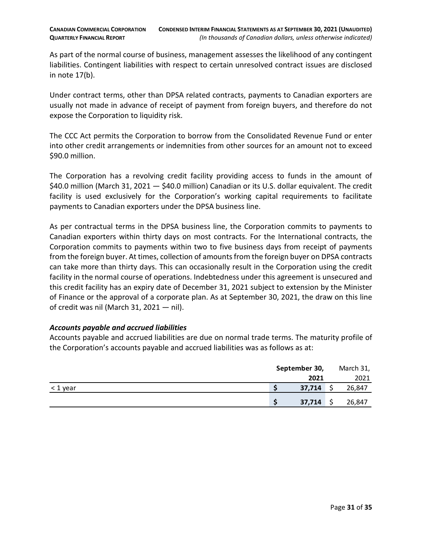As part of the normal course of business, management assesses the likelihood of any contingent liabilities. Contingent liabilities with respect to certain unresolved contract issues are disclosed in note 17(b).

Under contract terms, other than DPSA related contracts, payments to Canadian exporters are usually not made in advance of receipt of payment from foreign buyers, and therefore do not expose the Corporation to liquidity risk.

The CCC Act permits the Corporation to borrow from the Consolidated Revenue Fund or enter into other credit arrangements or indemnities from other sources for an amount not to exceed \$90.0 million.

The Corporation has a revolving credit facility providing access to funds in the amount of \$40.0 million (March 31, 2021 – \$40.0 million) Canadian or its U.S. dollar equivalent. The credit facility is used exclusively for the Corporation's working capital requirements to facilitate payments to Canadian exporters under the DPSA business line.

As per contractual terms in the DPSA business line, the Corporation commits to payments to Canadian exporters within thirty days on most contracts. For the International contracts, the Corporation commits to payments within two to five business days from receipt of payments from the foreign buyer. At times, collection of amounts from the foreign buyer on DPSA contracts can take more than thirty days. This can occasionally result in the Corporation using the credit facility in the normal course of operations. Indebtedness under this agreement is unsecured and this credit facility has an expiry date of December 31, 2021 subject to extension by the Minister of Finance or the approval of a corporate plan. As at September 30, 2021, the draw on this line of credit was nil (March 31, 2021 — nil).

#### *Accounts payable and accrued liabilities*

Accounts payable and accrued liabilities are due on normal trade terms. The maturity profile of the Corporation's accounts payable and accrued liabilities was as follows as at:

|          | September 30, |        |  | March 31, |
|----------|---------------|--------|--|-----------|
|          |               | 2021   |  | 2021      |
| < 1 year |               | 37,714 |  | 26,847    |
|          |               | 37,714 |  | 26,847    |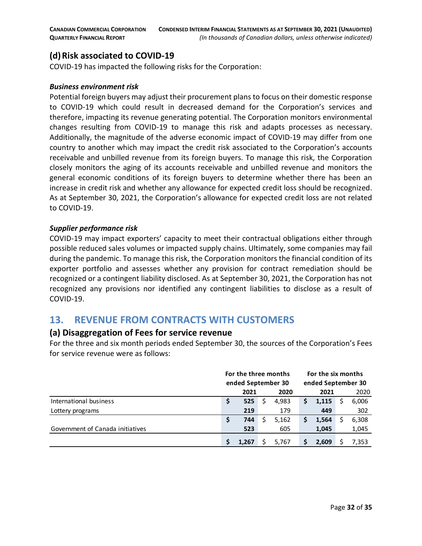## **(d)Risk associated to COVID-19**

COVID-19 has impacted the following risks for the Corporation:

#### *Business environment risk*

Potential foreign buyers may adjust their procurement plans to focus on their domestic response to COVID-19 which could result in decreased demand for the Corporation's services and therefore, impacting its revenue generating potential. The Corporation monitors environmental changes resulting from COVID-19 to manage this risk and adapts processes as necessary. Additionally, the magnitude of the adverse economic impact of COVID-19 may differ from one country to another which may impact the credit risk associated to the Corporation's accounts receivable and unbilled revenue from its foreign buyers. To manage this risk, the Corporation closely monitors the aging of its accounts receivable and unbilled revenue and monitors the general economic conditions of its foreign buyers to determine whether there has been an increase in credit risk and whether any allowance for expected credit loss should be recognized. As at September 30, 2021, the Corporation's allowance for expected credit loss are not related to COVID-19.

#### *Supplier performance risk*

COVID-19 may impact exporters' capacity to meet their contractual obligations either through possible reduced sales volumes or impacted supply chains. Ultimately, some companies may fail during the pandemic. To manage this risk, the Corporation monitors the financial condition of its exporter portfolio and assesses whether any provision for contract remediation should be recognized or a contingent liability disclosed. As at September 30, 2021, the Corporation has not recognized any provisions nor identified any contingent liabilities to disclose as a result of COVID-19.

### <span id="page-31-0"></span>**13. REVENUE FROM CONTRACTS WITH CUSTOMERS**

#### **(a) Disaggregation of Fees for service revenue**

For the three and six month periods ended September 30, the sources of the Corporation's Fees for service revenue were as follows:

|                                  | For the three months<br>ended September 30 |       |  |       | For the six months<br>ended September 30 |       |  |       |      |  |      |
|----------------------------------|--------------------------------------------|-------|--|-------|------------------------------------------|-------|--|-------|------|--|------|
|                                  | 2020<br>2021                               |       |  |       |                                          |       |  |       | 2021 |  | 2020 |
| International business           | Ş                                          | 525   |  | 4,983 |                                          | 1,115 |  | 6,006 |      |  |      |
| Lottery programs                 |                                            | 219   |  | 179   |                                          | 449   |  | 302   |      |  |      |
|                                  | Ş                                          | 744   |  | 5,162 |                                          | 1,564 |  | 6,308 |      |  |      |
| Government of Canada initiatives |                                            | 523   |  | 605   |                                          | 1,045 |  | 1,045 |      |  |      |
|                                  |                                            | 1,267 |  | 5.767 |                                          | 2.609 |  | 7.353 |      |  |      |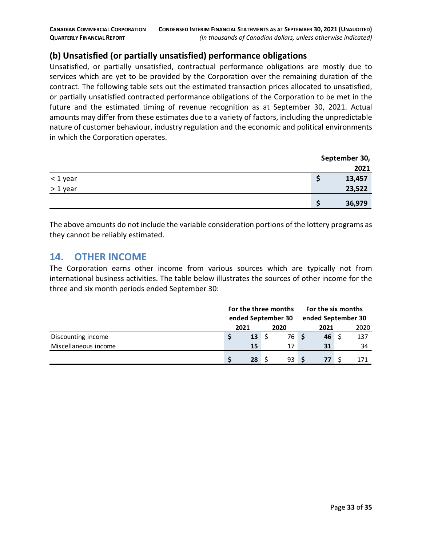## **(b) Unsatisfied (or partially unsatisfied) performance obligations**

Unsatisfied, or partially unsatisfied, contractual performance obligations are mostly due to services which are yet to be provided by the Corporation over the remaining duration of the contract. The following table sets out the estimated transaction prices allocated to unsatisfied, or partially unsatisfied contracted performance obligations of the Corporation to be met in the future and the estimated timing of revenue recognition as at September 30, 2021. Actual amounts may differ from these estimates due to a variety of factors, including the unpredictable nature of customer behaviour, industry regulation and the economic and political environments in which the Corporation operates.

|                             | September 30, |
|-----------------------------|---------------|
|                             | 2021          |
| < 1 year                    | 13,457<br>c   |
| and the control<br>> 1 year | 23,522        |
|                             | 36,979        |

The above amounts do not include the variable consideration portions of the lottery programs as they cannot be reliably estimated.

### <span id="page-32-0"></span>**14. OTHER INCOME**

The Corporation earns other income from various sources which are typically not from international business activities. The table below illustrates the sources of other income for the three and six month periods ended September 30:

|                      | For the three months<br>ended September 30 |                  |      |      | For the six months<br>ended September 30 |      |  |     |
|----------------------|--------------------------------------------|------------------|------|------|------------------------------------------|------|--|-----|
|                      | 2021<br>2020                               |                  | 2021 |      |                                          | 2020 |  |     |
| Discounting income   |                                            | $13 \quad \zeta$ |      | 76 S |                                          | 46   |  | 137 |
| Miscellaneous income |                                            | 15               |      | 17   |                                          | 31   |  | 34  |
|                      |                                            | 28               |      | 93S  |                                          | 77   |  |     |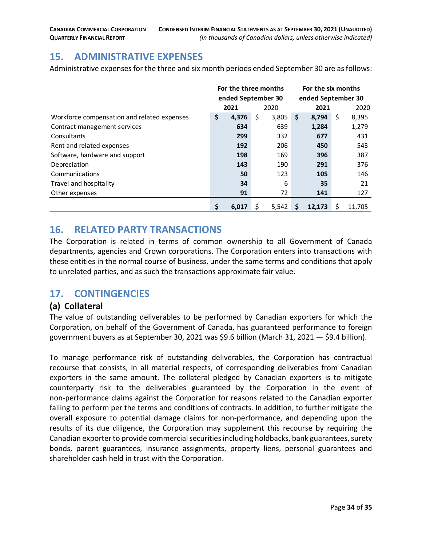# <span id="page-33-0"></span>**15. ADMINISTRATIVE EXPENSES**

Administrative expenses for the three and six month periods ended September 30 are as follows:

|                                             | For the three months |       |    |       | For the six months |        |    |        |  |  |
|---------------------------------------------|----------------------|-------|----|-------|--------------------|--------|----|--------|--|--|
|                                             | ended September 30   |       |    |       | ended September 30 |        |    |        |  |  |
|                                             |                      | 2021  |    | 2020  |                    | 2021   |    | 2020   |  |  |
| Workforce compensation and related expenses | \$                   | 4,376 | \$ | 3,805 | \$                 | 8.794  | \$ | 8,395  |  |  |
| Contract management services                |                      | 634   |    | 639   |                    | 1,284  |    | 1,279  |  |  |
| Consultants                                 |                      | 299   |    | 332   |                    | 677    |    | 431    |  |  |
| Rent and related expenses                   |                      | 192   |    | 206   |                    | 450    |    | 543    |  |  |
| Software, hardware and support              |                      | 198   |    | 169   |                    | 396    |    | 387    |  |  |
| Depreciation                                |                      | 143   |    | 190   |                    | 291    |    | 376    |  |  |
| Communications                              |                      | 50    |    | 123   |                    | 105    |    | 146    |  |  |
| Travel and hospitality                      |                      | 34    |    | 6     |                    | 35     |    | 21     |  |  |
| Other expenses                              |                      | 91    |    | 72    |                    | 141    |    | 127    |  |  |
|                                             | \$                   | 6.017 | Ś  | 5,542 | S                  | 12.173 | Ś  | 11.705 |  |  |

### <span id="page-33-1"></span>**16. RELATED PARTY TRANSACTIONS**

The Corporation is related in terms of common ownership to all Government of Canada departments, agencies and Crown corporations. The Corporation enters into transactions with these entities in the normal course of business, under the same terms and conditions that apply to unrelated parties, and as such the transactions approximate fair value.

### <span id="page-33-2"></span>**17. CONTINGENCIES**

#### **(a) Collateral**

The value of outstanding deliverables to be performed by Canadian exporters for which the Corporation, on behalf of the Government of Canada, has guaranteed performance to foreign government buyers as at September 30, 2021 was \$9.6 billion (March 31, 2021 — \$9.4 billion).

To manage performance risk of outstanding deliverables, the Corporation has contractual recourse that consists, in all material respects, of corresponding deliverables from Canadian exporters in the same amount. The collateral pledged by Canadian exporters is to mitigate counterparty risk to the deliverables guaranteed by the Corporation in the event of non-performance claims against the Corporation for reasons related to the Canadian exporter failing to perform per the terms and conditions of contracts. In addition, to further mitigate the overall exposure to potential damage claims for non-performance, and depending upon the results of its due diligence, the Corporation may supplement this recourse by requiring the Canadian exporter to provide commercial securities including holdbacks, bank guarantees, surety bonds, parent guarantees, insurance assignments, property liens, personal guarantees and shareholder cash held in trust with the Corporation.